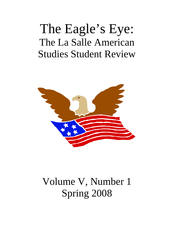# The Eagle's Eye: The La Salle American Studies Student Review



# Volume V, Number 1 Spring 2008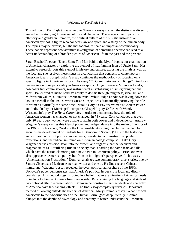#### Welcome to *The Eagle's Eye*

This edition of *The Eagle's Eye* is unique. These six essays reflect the distinctive diversity embedded in studying American culture and character. The essays cover topics from ethnicity and gender in literature, the political culture of the 60s, the history of an American symbol, a figure who connects law and sport, and a study of the human body. The topics may be diverse, but the methodologies share an important commonality. These papers represent how attentive investigation of something specific can lead to a better understanding of a broader picture of American life in the past and the present.

Sarah Bischoff's essay "Uncle Sam: The Man behind the Myth" begins our examination of American character by exploring the symbol of that familiar icon of Uncle Sam. Her extensive research roots this symbol in history and culture, exposing the myth as well as the fact, and she resolves these issues in a conclusion that connects to contemporary American ideals. Joseph Baker's essay continues the methodology of focusing on a specific figure in American history. His essay "Of Commissioners and Kings" introduces readers to a unique personality in American sports. Judge Kenesaw Mountain Landis, baseball's first commissioner, was instrumental in stabilizing a disintegrating national sport. Baker credits Judge Landis's ability to do this through toughness, idealism, and Midwestern values, all unique American traits. While Judge Landis was laying down the law in baseball in the 1920s, writer Susan Glaspell was dramatically portraying the role of women at virtually the same time. Natalie Cory's essay "A Woman's Choice: Power and Individuality, or Marriage?" compares Glaspell's play *Trifles* with Wendy Wasserstein's play *The Heidi Chronicles* in order to demonstrate how the role of American women has changed, or not changed, in 74 years. Cory concludes that even only 20 years ago, women were unable to attain both power and independence. Andrew Wagoner's essay carries this idea of power and independence into the realm of politics of the 1960s. In his essay, "Seeking the Unattainable, Avoiding the Unimaginable," he grounds the development of Students for a Democratic Society (SDS) in the historical and cultural context of political movements, presidential administrations, poetry, revolutions, and the radicalism found on American college campuses. Like Cory, Wagoner carries his discussion into the present and suggests that the idealism and pragmatism of SDS "still ring true in a society that is battling the same fears and ills which have the nation clamoring for a new dawn in American policy." Eric Donovan also approaches American policy, but from an immigrant's perspective. In his essay "Americanization Frustration," Donovan analyzes two contemporary short stories, one by Sandra Cisneros, a Mexican-American writer and one by Ha Jin, a recent Chinese immigrant. Wagoner's essay revealed the overt political atmosphere of the 1960s; Donovan's paper demonstrates that America's political issues cross local and distant boundaries. His methodology is rooted in a belief that an examination of America needs to include looking at America from the outside. By examining the language and style of two fictional ethnic representations, Donovan demonstrates that the ideals and character of America have far-reaching effects. The final essay completely reverses Donovan's method of looking outside the borders of America. Mary Conrad's essay "What Attracts Americans to the Abnormalities of the Human Form" goes deep, literally. Conrad plunges into the depths of psychology and anatomy to better understand the American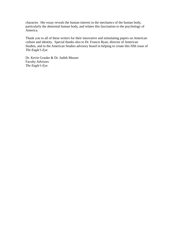character. Her essay reveals the human interest in the mechanics of the human body, particularly the abnormal human body, and relates this fascination to the psychology of America.

Thank you to all of these writers for their innovative and stimulating papers on American culture and identity. Special thanks also to Dr. Francis Ryan, director of American Studies, and to the American Studies advisory board in helping to create this fifth issue of *The Eagle's Eye*.

Dr. Kevin Grauke & Dr. Judith Musser Faculty Advisors *The Eagle's Eye*.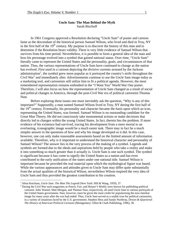### **Uncle Sam: The Man Behind the Myth**  Sarah Bischoff

In 1961 Congress approved a Resolution declaring "Uncle Sam" of poster and cartoon fame as the descendant of the historical person Samuel Wilson, who lived and died in Troy, NY in the first half of the  $19<sup>th</sup>$  century. My purpose is to discover the history of this man and to determine if the Resolution bears validity. There is very little evidence of Samuel Wilson that survives from his time period. Nevertheless, it is possible to form a general idea of the man and how his personage evolved into a symbol that gained national status. Over time, "Uncle Sam" literally came to represent the United States and the personality, goals, and circumstances of that nation. Thus, the various representations of Uncle Sam have continued to change as the nation has evolved. First used in a cartoon depicting the divisive currents aroused by the Jackson administration<sup>1</sup>, the symbol grew more popular as it portrayed the country's strife throughout the Civil War<sup>2</sup> and immediately after. Advertisements continue to use the Uncle Sam image today as a marketing tool, and cartoonists still utilize him to fit a political agenda. However, the most remembered representation remains embodied in the "I Want You" World War One poster. Therefore, I will also focus on how the representation of Uncle Sam changed as a result of social and political changes in America, through the post-Civil War era of political cartoonist Thomas Nast.

Before exploring these issues one must inevitably ask the question, "Why is any of this important?" Supposedly, a man named Samuel Wilson lived in Troy, NY during the first half of the  $19<sup>th</sup>$  century. Eventually, his personality and character became the basis upon which an icon, representing the United States, was formed. Samuel Wilson is no outstanding candidate for the Great Man Theory. He did not consciously take monumental actions or make decisions that directly led to changes within the young United States. In fact, therein lies the problem. If more evidence of his existence had survived, tracing his development from a mere mortal to an everlasting, iconographic image would be a much easier task. There may in fact be a much simpler answer to the questions of how and why his image developed as it did. In this case, however, one can only make reasonable assessments based on the limited amount of information available. Therefore, why is it important to understand the historical character and personality of Samuel Wilson? The answer lies in the very process of the making of a symbol. Legends and symbols are formed due to the ideals and aspirations held by people who take a reality and make it into something so much greater than it actually is. Uncle Sam is one such symbol. The symbol is significant because it has come to signify the United States as a nation and has even contributed to the early unification of the states under one national title. Samuel Wilson is important because he provided the real material upon which the mythological figure was based. While the various appearances and attitudes given to Uncle Sam may differ quite substantially from the actual qualities of the historical Wilson, nevertheless Wilson inspired the very idea of Uncle Sam and thus provided the greatest contribution to his creation.

<sup>&</sup>lt;sup>1</sup> Alton Ketchum, *Uncle Sam: The Man The Legend* (New York: Hill & Wang, 1959), 37.<br><sup>2</sup> During the Civil Wer such megazines as *Bungh, Eun and Harnar's Weekly ware known*.

During the Civil War such magazines as *Punch*, *Fun*, and *Harper's Weekly* were known for publishing political cartoons. John Tenniel, Matt Morgan, and Thomas Nast, respectively, all used Uncle Sam in various portrayals of the United States government. Nast, however, must be given the most credit for popularizing the now-familiar image for many years after the war had ended. Thus, Uncle Sam served as a usable icon for political cartoonists, in a variety of situations faced by the U.S. government. Stephen Hess and Sandy Northrop, *Drawn & Quartered: The History of American Political Cartoons* (Montgomery: Elliot & Clark Publishing, 1996), 30.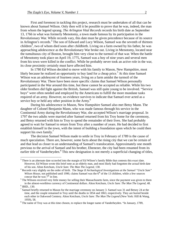$\overline{a}$ 

 First and foremost in tackling this project, research must be undertaken of all that can be known about Samuel Wilson. Only then will it be possible to prove that he was, indeed, the man from whom the legend sprang. *The Arlington Vital Records* records his birth date as September 13, 1766 in what was formerly Menotomy, a town made famous by its participation in the Revolutionary War. While records vary, this date must be given precedence because of its source in Arlington's records.<sup>3</sup> The son of Edward and Lucy Wilson, Samuel was the seventh of thirteen children<sup>4</sup>, two of whom died soon after childbirth. Living on a farm owned by his father, he was approaching adolescence as the Revolutionary War broke out. Living in Menotomy, located near the tumultuous city of Boston, brought him very close to the turmoil of that war. When the battle of Menotomy took place on April 19, 1775, Samuel was a boy of nine years and several men from his town were killed in the conflict. While he probably never took an active role in the war, its close proximity certainly must have affected him.

In 1780 Ed Wilson decided to move with his family to Mason, New Hampshire, most likely because he realized an opportunity to buy land for a cheap price.<sup>5</sup> At this time Samuel Wilson was an adolescent of fourteen years, living on a farm amidst the turmoil of the Revolutionary War. There have been more specific claims that Samuel Wilson personally participated in the War around this time, but these cannot be accepted as reliable. While his two older brothers did fight against the British, Samuel was still quite young to be involved. "Service boys" were often needed and employed by the Americans to fulfill the more mundane tasks required of an army. However, no evidence survives to indicate that Samuel ever acted as a service boy or held any other position in the Army.<sup>6</sup>

 During his adolescence in Mason, New Hampshire Samuel also met Betsy Mann. The daughter of Colonel Benjamin Mann, who was made famous through his service in the Continental Army during the Revolutionary War, she accepted Wilson's marriage proposal. In 1797 the two adults were married after Samuel returned from his Troy home for the ceremony, and Betsy returned with him to Troy to spend the remainder of their lives. She had probably agreed to wait for Samuel to return from Troy after a number of years. He had decided to first establish himself in the town, with the intent of building a foundation upon which he could then support his own family.<sup>7</sup>

 The decision Samuel Wilson made to settle in Troy in February of 1789 is the cause of much speculation. There are, however, some facts about the rising city that we can be certain of and that lead us closer to an understanding of Samuel's translocation. Approximately one month previous to the arrival of Samuel and his brother, Ebenezer, the city had been renamed from its earlier title of Vanderheyden.<sup>8</sup> This new designation is not merely a superficial changing of titles,

 $3$  There is an alternate date scrawled into the margin of Ed Wilson's family Bible that contests this exact date. However, Ed Wilson wrote this brief note as an elderly man, and most likely had forgotten the actual birth date of his son. Alton Ketchum, *Uncle Sam: The Man The Legend*, 130. 4

Records vary slightly on the order of birth. The *Stage II Archaelogical Investigations at the Samuel "Uncle Sam" Wilson House*, not published until 1990, claims Samuel was the 6<sup>th</sup> of the 13 children, while a few sources concur that he was  $7<sup>th</sup>$  in line.

<sup>&</sup>lt;sup>5</sup> The Wilsons received very little money for selling their Massachusetts farm, since the payment was given to them in the almost-worthless currency of Continental dollars. Alton Ketchum, *Uncle Sam: The Man The Legend*, 48. 6  $6$  IBID., 130.

<sup>&</sup>lt;sup>7</sup> Samuel briefly returned to Mason for the marriage ceremony on January 3. Samuel was 31 and Betsey 24 at the time, and the couple remained in Troy until the deaths in 1854 and 1863, respectively. They are buried beside each other in Oakwood Cemtery. Alton Ketchum, *Uncle Sam: The Man The Legend* (New York: Hill & Wang, 1959), 58.

<sup>&</sup>lt;sup>8</sup> The name of Troy was at this time chosen, to replace the longer name of Vanderheyden. "In January, 1789,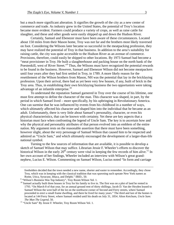but a much more significant alteration. It signifies the growth of the city as a new center of commerce and trade. As industry grew in the United States, the potential of Troy's location became more evident. Farmers could produce a variety of crops, as well as raise cattle for slaughter, and these and other goods were easily shipped up and down the Hudson River.

 Certainly, Samuel and Ebenezer must have been aware of these circumstances. Located about 150 miles from their Mason home, Troy was not far and the brothers most likely traversed on foot. Considering the Wilsons later became so successful in the meatpacking profession, they may have realized the potential of Troy in that business. In addition to the area's suitability for raising cattle, the city was quite accessible to the Hudson River as an avenue of commerce. Provisions, therefore, could easily be shipped to other locations. By 1973 Samuel had become a "meat provisioner in Troy. He built a slaughterhouse and packing house on the north bank of the Poestenkill, west of River Street."<sup>9</sup> Thus, the Wilsons must have recognized the potential rewards to be found in the business. However, Samuel and Ebenezer Wilson did not become meatpackers until four years after they had first settled in Troy, in 1789. A more likely reason for the resettlement of the Wilson brothers from Mason, NH was the potential that lay in the bricklaying profession. Upon their arrival, there had as yet been very few houses, if any, built of brick in the Troy area. Thus, in establishing their own bricklaying business the two opportunists were taking advantage of an infantile enterprise.<sup>10</sup>

 To understand the reputation Samuel garnered in Troy over the course of his lifetime, one must first attempt to define the character of the man. This character was shaped, in part, by the period in which Samuel lived – more specifically, by his upbringing in Revolutionary America. One can surmise that he was influenced by events from his childhood in a number of ways, which ultimately affected his character and shaped him into the individual that he became as an adult. Unfortunately, there is very little about Samuel's personality, character, or even his physical characteristics, that can be known with certainty. Yet these are key aspects that a historian must face when confronting the legend of Uncle Sam. The key is to ascertain how and why the physical and personality attributes of that person evolved into an emblem of the entire nation. My argument rests on the reasonable assertion that there must have been something, however slight, about the very personage of Samuel Wilson that caused him to be respected and admired as "Uncle Sam," and which ultimately encouraged the development of a larger-than-life national symbol.

 Turning to the few sources of information that are available, it is possible to develop a sketch of Samuel Wilson that may suffice. Librarian Jessie F. Wheeler's efforts to discover the historical Wilson in the early  $20<sup>th</sup>$  century were vital in keeping the few records of him alive.<sup>11</sup> In her own account of her findings, Wheeler included an interview with Wilson's great grandnephew, Lucius E. Wilson. Commenting on Samuel Wilson, Lucius noted "In form and carriage

freeholders decided that the town needed a new name, shorter and easier to remember. Accordingly, they chose Troy, which was in keeping with the classical tradition that was spawning such upstate New York names as Rome, Utica, Syracuse, Ithaca, and Delphi." IBID., 50. 9

<sup>&</sup>lt;sup>9</sup> "Wilson's Business Was Top Industry", Troy Room Wilson Vol. 1.

<sup>&</sup>lt;sup>10</sup> Samuel actually built three houses in Troy for his family to live in. The first was on a plot of land he rented in 1793. "On March 8 of that year, for an annual ground rent of thirty shillings, Jacob D. Van der Heyden leased to Samuel Wilson the west half of the lot on the northwest corner of Second and Ferry streets, where Samuel proceeded to erect a small frame dwelling, and there he lived for many years." The third and last of the homes is located at 144 Ferry Street, where Samuel resided until his death on July 31, 1854. Alton Ketchum, *Uncle Sam:* 

*The Man The Legend*, 50.<br><sup>11</sup> "Uncle Sam" By Jessie F. Wheeler, Troy Room Wilson Vol. 1.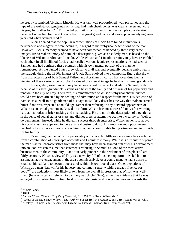he greatly resembled Abraham Lincoln. He was tall, well proportioned, well preserved and the type of the well-to-do gentleman of his day, had high cheek bones, was clean shaven and wore his grey hair rather long."<sup>12</sup> This verbal portrait of Wilson must be given ample consideration, because Lucius had firsthand knowledge of his great granduncle and was approximately eighteen years old when Samuel died.<sup>13</sup>

Lucius denied that the popular representations of Uncle Sam found in numerous newspapers and magazines were accurate, in regard to their physical descriptions of the man. However, Lucius' memory seemed to have been somewhat influenced by these very same images. His verbal testimony of Samuel's description, given as an elderly man, is based on the likeness of Wilson to Abraham Lincoln. While Wilson and Lincoln certainly may have resembled each other, in all likelihood Lucius had recalled various iconic representations he had seen of Samuel, and had confused these pictures with his own mental portrait of the man he remembered. As the United States drew closer to civil war and eventually became embroiled in the struggle during the 1860s, images of Uncle Sam evolved into a composite figure that drew from characteristics of both Samuel Wilson and Abraham Lincoln. Thus, over time Lucius' viewing of these various icons probably altered the mental image he held of his great granduncle.

 Lucius, also, would most likely have been raised to respect and admire Samuel, both because of his great granduncle's status as a head of the family and because of his popularity and renown in the city of Troy. Therefore, his remembrance of Wilson's physical characteristics would have been affected by his feelings of admiration and respect for the man. His depiction of Samuel as a "well-to-do gentleman of his day" most likely describes the way that Wilson carried himself and was respected at an old age, rather than referring to any outward appearances of Wilson as an actual gentleman. Raised on a farm, Wilson became successful only after working hard at his trades of brick making and meatpacking. He did not fit the description of a gentleman in the sense of social status or class and did not dress or attempt to act like a wealthy or "well-todo gentleman." Instead, while he did gain success through enterprise, Wilson never rose above his social class nor appeared to have any real desire to do so. His ambition and opportunism reached only insofar as it would allow him to obtain a comfortable living situation and to provide for his family.

 Examining Samuel Wilson's personality and character, little evidence may be ascertained from a combination of newspaper accounts and Lucius' testimony. While it is difficult to separate the man's actual characteristics from those that may have been granted him after his development into an icon, we can assume that statements referring to Samuel as "one of the most active business men of the community"<sup>14</sup> and "an early pioneer in the settlement of this place"<sup>15</sup> are fairly accurate. Wilson's view of Troy as a new city full of business opportunities led him to assume an active engagement in the area upon his arrival. As a young man, he had a desire to establish himself and to become successful within his own social class. Other depictions of Wilson as a man "known for his honesty and common sense, wielding great influence for good"<sup>16</sup> are deductions most likely drawn from the overall impression that Wilson was wellliked, (he was, after all, referred to by many as "Uncle" Sam), as well as evidence that he was engaged in volunteer firefighting, held official city posts, and contributed money towards the

<sup>&</sup>lt;sup>12</sup> "Uncle Sam".

<sup>&</sup>lt;sup>13</sup> IBID.<br><sup>14</sup> Samuel Wilson Obituary, *Troy Daily Times July 31*, 1854, Troy Room Wilson Vol. 1.

<sup>&</sup>lt;sup>15</sup> "Death of the late Samuel Wilson", *The Northern Budget* Troy, NY August 2, 1854, Troy Room Wilson Vol. 1.<br><sup>16</sup> "History Of Uncle Sam: The American Dream" By Thomas I. Gerson, Troy Room Wilson Vol. 1.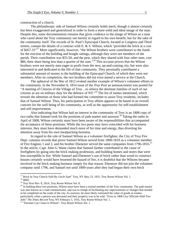construction of a church.

The philanthropic side of Samuel Wilson certainly holds merit, though it almost certainly has been exaggerated and generalized in order to form a more solid and ideal image of the man. Despite this, some documentation remains that gives credence to the image of Wilson as a man who cared about the Troy community not merely in regard to his own benefit, but for the sake of the community itself. The records of St. Paul's Episcopal Church, located at Congress and Third streets, contain the details of a contract with E. & S. Wilson, which "provided the brick at a cost of \$457.31"<sup>17</sup> More significantly, however, "the Wilson brothers were contributors to the funds for the erection of the building and bought sittings, although they were not members of the parish. Their contribution was \$55.50; and the pew, which they shared with four other men, cost \$86, their share being less than a quarter of the sum."<sup>18</sup> This account proves that the Wilson brothers were not merely men eager to profit from the new, up-and-coming city, but were also interested in and dedicated to the life of that community. They personally contributed a substantial amount of money to the building of the Episcopal Church, of which they were not members. After its completion, the two brothers did not even attend a service at the Church.

The upheaval of the War of 1812 evoked another example of Wilson's volunteer efforts in the community. In the November 8, 1814 issue of the *Troy Post* an announcement was posted for "A meeting of Citizens of the Village of Troy…to relieve the destitute families of such of our citizens as are on military duty for the defence of NY."19 The list of names mentioned, which reveals the identities of those who had formed the committee to assist Troy residents, includes that of Samuel Wilson. Thus, his participation in Troy affairs appears to be based in an overall concern for the well being of his community, as well as the opportunity for self-establishment and self-improvement.

Also indicating that Wilson had an interest in the community of Troy is an 1808 copy of two oaths that Samuel took for the positions of path master and assessor.20 Taking the oaths in April of 1808, Wilson certainly must have been aware of the responsibilities that accompanied the acceptance of these positions. While the two posts may have coincided with his business interests, they must have demanded much more of his time and energy, thus diverting his attention away from his own meatpacking business.

In regard to the role of Samuel Wilson as a volunteer firefighter, the City of Troy Fire Dept. contains records that prove Samuel Wilson served from 1800-1819 as a volunteer member of Fire Engines 1 and 2, and his brother Ebenezer served the same companies from  $1796-1816$ <sup>21</sup> In the article, Capt. John G. Waite claims that Samuel further contributed to the cause of firefighters by going into the brick making profession, and building homes and stores that were less susceptible to fire. While Samuel and Ebenezer's use of brick rather than wood to construct houses certainly would have lessened the hazard of fire, it is doubtful that the Wilsons became involved in the brick making business simply for that reason. Ebenezer did not join the volunteer company until 1796, and Samuel not until 1800-years after they had begun their own brick

<sup>&</sup>lt;sup>17</sup> Brick In Troy Church Sold By Uncle Sam" Troy, NY May 23, 1931, Troy Room Wilson Vol. 1.

<sup>&</sup>lt;sup>18</sup> IBID.<br><sup>19</sup> *Troy Post* Nov. 8, 1814, Troy Room Wilson Vol. 8.

<sup>&</sup>lt;sup>20</sup> In holding these two positions, Wilson must have been a trusted member of the Troy community. The path master was also known as a road commissioner, and was in charge of facilitating any improvements or changes that needed to be completed on the roads of the city. As assessor, he most likely estimated the value of goods or estates, particularly when a person was deceased and their property was to be sold. "Even in 1808 City Officials Held Two Jobs" *The Times Record* Troy, NY February 5, 1935, Troy Room Wilson Vol. 1. 21 "Firemen Lay Claim to Wilson", Troy Room Wilson Vol. 1.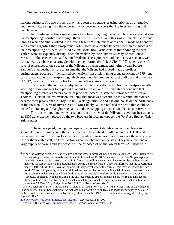making business. The two brothers may have seen the benefits of using brick as an alternative, but they equally recognized the opportunity for personal success that lay in establishing their own business.

As significant as brick making may have been in giving the Wilson brothers a start, it was the meatpacking industry that brought them the most success, and this was ultimately the avenue through which Samuel evolved into a living legend.<sup>22</sup> References occasionally made to Ebenezer and Samuel regarding their prosperous start in Troy, have probably been based on the success of their meatpacking business. A *Trojan Sketch Book* (1846) article states that "Among the first settlers who subsequently distinguished themselves by their enterprise, may be mentioned Messrs…. Ebenezer Wilson and Samuel Wilson. These pioneers and their early associates, were compelled to embark on a struggle with the then formidable "New City"".<sup>23</sup> This being one of several references to the success of the Wilsons as businessmen, and written years before Samuel's own death, it is safe to assume that the Wilsons had indeed made a profit as businessmen. Because of the marked conversion from brick making to meatpacking by 1794 one can also conclude that meatpacking, which sustained the brothers at least until the end of the War of 1812, was the primary stimulus for this and other claims of success.

Considering the inquiry of why the Wilson brothers decided to become meatpackers after working as brick makers for a period of about 4-5 years, one must inevitably conclude that meatpacking offered a greater chance of profit or success. A statement provided by historian Thomas I. Gerson, claims "Wilson, realizing that meat was essential to the westbound pioneer, became meat provisioner in Troy. He built a slaughterhouse and packing house on the north bank of the Poestenkill, west of River street."24 Most likely, Wilson realized the profit that could be made from raising and slaughtering cattle, and then shipping the meat via the Hudson River.

The most compelling evidence supporting the view of the Wilsons as avid businessmen is an 1805 advertisement placed by the two brothers in local newspaper the *Northern Budget*. This article states:

"The undersigned, having two large and convenient slaughterhouses, beg leave to acquaint their customers and others, that they will be enabled to kill, cut and pack 150 head of cattle per day; and from their local situation, pledge themselves to accommodate those who may favour them with a call, on terms as low as can be obtained in the state. They have on hand a large supply of barrels and salt which will be disposed of on the lowest terms. All those who

<sup>&</sup>lt;sup>22</sup> While the Wilsons engaged first in brickmaking and later in meatpacking, it appears as though Samuel retained his brickmaking business, or re-established it later in life. A June 18, 1833 statement in the *Troy Budget* explains "Mr. Wilson returns his thanks to those of his friends and fellow citizens who have subscribed so liberally to make up his loss at his Bricking establishment during the recent freshet. They are informed that the subscription paper is left with Mr. E. L. Boynton, number 18 Ferry Street who will receive all that may be left and forward it to Mr. Wilson." Apparently, Samuel's brickmaking business had suffered a financial blow and members of the Troy community had contributed to a fund raised in his benefit. Therefore, while Samuel may have been successful at periods with his brickmaki ng and meatpacking establishments, he did not retain that success throughout his entire life. Never did he reach a much higher social or financial status from that which he was born into. "A Card" *Troy Budget* June 18, 1833, Troy Room Wilson Vol. 8. 23 *Trojan Sketch Book* 1846. This article also refers in particular to "New City", the former name of the village of

Lansingburgh. In 1791 Lansingburgh was included as part of the city of Troy, and today it continues to be called such, as well as it is considered to be North Troy. Tice, Joyce M., 1999, "Tri-Counties Genealogy & History by Joyce M. Tice".

http://www.rootsweb.com/~nyrensse/lansing.htm, (Accessed April 10, 2007). 24 "Wilson's Business Was Top Industry"; *Stage II Archaeological Investigations*.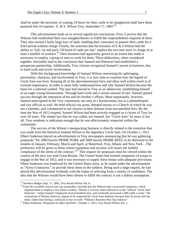shall be under the necessity of waiting 24 hours for their cattle to be slaughtered shall have them pastured free of expense. E. & S. Wilson Troy, September 17,  $1805^{\prime\prime25}$ 

This advertisement leads us to several significant conclusions. First, it proves that the Wilsons had established their own slaughterhouses to fulfill the responsibilities required of them. They also owned a fairly large tract of land, enabling their customers to pasture their cattle for a brief period without charge. Finally, the assertion that the business of  $E \& S$  Wilson had the ability to "kill, cut and pack 150 head of cattle per day" implies the two men were in charge of at least a handful of workers.<sup>26</sup> Their business had apparently grown to an extent that made it necessary to employ a group of men to work for them. These deductions, when considered together, inevitably lead to the conclusion that Samuel and Ebenezer had established a prosperous partnership. Additionally, Troy citizens recognized Samuel's ascent in business, due to hard work and active involvement.

With this background knowledge of Samuel Wilson concerning his upbringing, personality, character, and involvement in Troy, it is now time to examine how the legend of Uncle Sam was born. Keeping all of the abovementioned facts and ideas well within reach is of extreme importance, in order to more fully understand how and why Samuel Wilson became the basis for a national symbol. The man had moved to Troy as an adolescent, establishing himself as an eager young businessman. Through hard work and a certain amount of tact, Samuel gained success through the enterprise of his and his brother's efforts. More importantly, however, Samuel participated in the Troy community not only as a businessman, but as a philanthropist and city official as well. He held official city posts, donated money to a Church of which he was not a member, and volunteered to aid citizens in their defense from uncontrolled fires. By the time the War of 1812 erupted, Samuel Wilson had been actively engaged as a citizen of Troy for over 20 years. The simple fact that he was called, not Samuel, but "Uncle Sam" by most, if not all, Troy residents is indication enough that he was affectionately respected within the community.

The success of the Wilson's meatpacking business is directly related to the transition that was made from the historical Samuel Wilson to the legendary Uncle Sam. On October 1, 1812 Elbert Anderson placed an advertisement in Troy newspapers announcing that he was gathering proposals "for 2000 barrels PRIME PORK and 3000 barrels PRIME BEEF, to be delivered in the months of January, February, March and April, at Waterford, Troy, Albany and New-York…The preference will be given to those whose reputation and security will insure the faithful compliance of the terms of the contract."<sup>27</sup> This request for proposals must be viewed within the context of the new war with Great Britain. The United States had formed companies of troops to engage in the War of 1812, and it was necessary to supply these troops with adequate provisions. Elbert Anderson was employed by the United States army, as he stated under the advertisement as "Army-Contractor," to provide these items to the soldiers. Being such a large request, he had placed this advertisement evidently with the hopes of selecting from a variety of candidates. The idea that the Wilsons would have been chosen to fulfill the contract is not a dubius assumption.

<sup>&</sup>lt;sup>25</sup> Northern Budget Sept. 17, 1805, Troy Room Wilson Vol. 8.

<sup>&</sup>lt;sup>26</sup> From the available sources one can reasonably conclude that the Wilsons had a successful enterprise, which required them to employ a few dozen workers. Thomas I. Gerson, often referred to as the "official 'Uncle Sam' historian", claims Samuel "employed several hundred men, and eventually processed 1,000 cattle a week." His evaluations of Wilson, however, appear to be respected by Uncle Sam admirers because they fit nicely into the

ideal, rather than having a sold base in fact or truth. "Wilson's Business Was Top Industry".<br><sup>27</sup> Elbert Anderson "Proposals for Beef and Pork", October 1, 1812, Troy Room Wilson Vol. 1.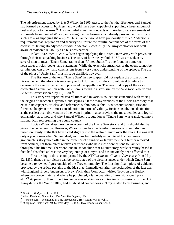The advertisement placed by E & S Wilson in 1805 attests to the fact that Ebenezer and Samuel had formed a successful business, and would have been capable of supplying a large amount of beef and pork to the army.<sup>28</sup> Also, included in earlier contracts with Anderson are statements of shipments from Samuel Wilson, indicating that his business had already proven itself worthy of such a task as supplying the army.<sup>29</sup> Thus, Samuel would have previously fulfilled Anderson's requirement that "reputation and security will insure the faithful compliance of the terms of the contract." Having already worked with Anderson successfully, the army contractor was well aware of Wilson's reliability as a business partner.

In late 1812, then,  $E \& S$  Wilson began supplying the United States army with provisions through their meatpacking business. The story of how the symbol "U.S." was mistaken by several men to mean "Uncle Sam," rather than "United States," is one found in numerous newspaper articles, books, and statements. While the exact circumstances of the event cannot be certain, one can draw valid conclusions from a very basic understanding of the episode. The use of the phrase "Uncle Sam" must first be clarified, however.

The first use of the term "Uncle Sam" in newspapers did not explain the origin of the nickname, and therefore it is necessary to look further down the chronological timeline to determine the events that actually produced the appellation. The very first copy of the story connecting Samuel Wilson with Uncle Sam is found in a story run by the *New York Gazette* and *General Advertiser* on May 12, 1830.<sup>30</sup>

This story was reprinted several times and in various collections concerned with tracing the origins of anecdotes, symbols, and sayings. Of the many versions of the Uncle Sam story that exist in newspapers, articles, and references within books, this 1830 account should, first and foremost, be given the utmost consideration in terms of validity. Besides its obvious distinction as the earliest available version of the event in print, it also provides the most detailed and logical explanation as to how and why Samuel Wilson's reputation as "Uncle Sam" was translated into a national icon representing the young country.

Lucius Wilson does provide an account of the Uncle Sam story, and this should also be given due consideration. However, Wilson's tone has the familiar resonance of an individual raised on family truths that have faded slightly into the realm of myth over the years. He was still only a young man when Samuel died, and thus has probably encountered his own greatgranduncle's story more often in the presence of strangers or family members farther removed from Samuel, not from direct relatives or friends who held close connections to Samuel throughout his lifetime. Therefore, one must conclude that Lucius' story, while certainly based in fact, had absorbed at least the very beginnings of a myth, and has inevitably been affected thus.

First turning to the account printed by the *NY Gazette* and *General Advertiser* from May 12, 1830, then, a clear picture can be constructed of the circumstances under which Uncle Sam became a renowned figure outside of the Troy community. The first significant piece of evidence provided by the article pertains to the idea that "Immediately after the declaration of the last war with England, Elbert Anderson, of New York, then Contractor, visited Troy, on the Hudson, where was concentrated and where he purchased, a large quantity of provisions-beef, pork, etc."<sup>31</sup> Apparently, then, Elbert Anderson was working as a contractor of provisions for the U.S. Army during the War of 1812, had established connections in Troy related to his business, and

<u>.</u>

<sup>28</sup> *Northern Budget* Sept. 17, 1805

<sup>&</sup>lt;sup>29</sup> Alton Ketchum, *Uncle Sam: The Man The Legend*, 129.<br><sup>30</sup> " 'Uncle Sam' " Mentioned In 1813 Broadside", Troy Room Wilson Vol. 1.

<sup>31 &</sup>quot;Origin of Uncle Sam" *NY Gazette* May 12, 1830, Troy Room Wilson Vol. 8.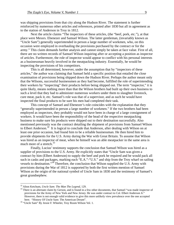was shipping provisions from that city along the Hudson River. The statement is further reinforced by numerous other articles and references, printed after 1830 but all in agreement as to the station of Anderson in Troy in 1812.

Next the article claims "The inspectors of these articles, (the "beef, pork, etc."), at that place were Messrs. Ebenezer and Samuel Wilson. The latter gentleman, (invariably known as "Uncle Sam") generally superintended in person a large number of workmen, who, on this occasion were employed in overhauling the provisions purchased by the contract or for the army." This claim demands further analysis and cannot simply be taken at face value. First of all, there are no written records of Samuel Wilson inquiring after or accepting a position as inspector of articles. Furthermore, the role of inspector would appear to conflict with his personal interests as a businessman heavily involved in the meatpacking industry. Essentially, he would be inspecting the provisions of his competitors.

This is all determined, however, under the assumption that by "inspectors of these articles," the author was claiming that Samuel held a specific position that entailed the close examination of provisions being shipped down the Hudson River. Perhaps the author meant only that the Wilsons, successful businessmen as they had become, fulfilled the role of superintending their workers by "inspecting" their products before being shipped out. The term "inspector," it is quite likely, means nothing more than that the Wilson brothers had built up their own business to such a level that they had to administer numerous workers under them to slaughter livestock, cure meat, pack it, etc. Samuel's role was that of a supervisor, and as such he would have inspected the final products to be sure his men had completed their task.

This concept of Samuel and Ebenezer's role coincides with the explanation that they "generally superintended in person a large number of workmen." If the two brothers had been employed as inspectors, they probably would not have been in charge of a large consignment of workers. It would have been the responsibility of the head of the respective meatpacking business to make sure his products were shipped out to their destination successfully. Also mentioned previously was the contract detailing the shipment of provisions from Samuel Wilson to Elbert Anderson.<sup>32</sup> It is logical to conclude that Anderson, after dealing with Wilson on at least one prior occasion, had found him to be a reliable businessman. He then hired him to provide shipments for the U.S. Army during the War with Great Britain. To assume that Wilson was hired as an inspector of meat, when he himself was an able meatpacker in the same area is much more of a stretch.<sup>33</sup>

Finally, Lucius' testimony supports the conclusion that Samuel Wilson was hired as a supplier of provisions to the U.S. Army. He explicitly states that "Uncle Sam was given a contract by him (Elbert Anderson) to supply the beef and pork he required and he would pack all such in casks and packages, marking each "E.A."-"U.S." and ship from the Troy wharf on sailing vessels to destination."<sup>34</sup> Therefore, the conclusion that Wilson supplied the U.S. Army with provisions during the War of 1812 is supported by both the first written mention of Samuel Wilson as the origin of the national symbol of Uncle Sam in 1830 and the testimony of Samuel's great grandnephew.

<sup>&</sup>lt;sup>32</sup> Alton Ketchum, *Uncle Sam: The Man The Legend*, 129.<br><sup>33</sup> There is an alternate claim by Gerson, and is found in a few other documents, that Samuel "was made inspector of provisions for the Army of New York and New Jersey. He was under contract to Col. Elbert Anderson Jr." However, there is not enough valid evidence to give this more unlikely view prevalence over the one accepted

here. "History Of Uncle Sam: The American Dream".<br><sup>34</sup> "Uncle Sam" By Jessie F. Wheeler, Troy Room Wilson Vol. 1.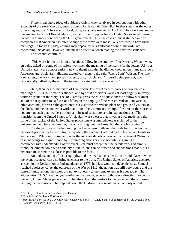There is one more piece of evidence which, when analyzed in conjunction with other accounts of the story, can be granted as being fairly certain. The 1830 further states, as the other sources agree, that "The casks (of beef, pork, etc.) were marked E.A.-U.S." They were marked in this manner because Elbert Anderson, as the official supplier for the United States Army during the war, was under contract by the U.S. government. Thus, the casks of meat shipped out by companies that Anderson had hired to supply the army were most likely required to have those markings. To today's reader, nothing may appear to be significant or out of the ordinary concerning this detail. However, one must be attentive when reading the next few sentences.

The account continues,

"This work fell to the lot of a facetious fellow in the employ of the Messrs. Wilson, who, on being asked by some of his fellow-workmen the meaning of the mark (for the letters U.S., for United States, were almost entirely new to them) said that he did not know unless it meant Elbert Anderson and Uncle Sam-alluding exclusively then, to the said "Uncle Sam" Wilson. The joke took among the workmen, passed currently and, "Uncle Sam" himself being present, was occasionally rallied by them on the increasing extent of his possessions."

Here, then, begins the myth of Uncle Sam. The exact circumstances of how the cask markings "E.A.-U.S." were questioned, and by what observers, varies at least slightly in every written account of the story. The 1830 article gives the role of questioner to "fellow workmen" and of the responder to "a facetious fellow in the employ of the Messrs. Wilson." In various other accounts, however, the questioner is a visitor to the Wilson plant or a group of visitors at the dock, and the responder "a workman<sup>35</sup> or "the waterman in charge."<sup>36</sup> Some of the stories do not attempt such detailed description, and instead substitute certain explanations as "The transition from the United States to Uncle Sam was so easy, that it was at once made, and the name of the packer of the United States provisions was immediately transferred to the government, and became familiar, not only throughout the Army, but the whole country."<sup>37</sup>

 For the purpose of understanding the Uncle Sam myth and the swift transition from a historical personality to mythological symbol, the statement offered by the last account suits us well enough. While intriguing to ponder the intricate details of how and why Samuel Wilson's cask markings were questioned by surrounding observers, it is not vital to gaining a comprehensive understanding of the event. One must accept that the details vary and simply cannot be pinned down with certainty. Conclusions can be drawn and suppositions made, but a historian must remain as close as possible to the facts.

 An understanding of historiography, and the need to consider the time and place in which the event occurred, can also bring us closer to the truth. The United States of America, declared as such in the Declaration of Independence of 1776, had just won its independence as Samuel reached adolescence. At the outbreak of the War of 1812, the nation was still very young and the sense of unity among the states did not exist nearly to the same extent as it does today. The abbreviation "U.S." was not yet familiar to the people, especially those not directly involved in the early United States government. Therefore, both the visitors to the docks and the workmen hauling the provisions to be shipped down the Hudson River would have had only a faint

<sup>&</sup>lt;sup>35</sup> "History Of Uncle Sam: The American Dream".

<sup>&</sup>lt;sup>36</sup> "Uncle Sam" By Jessie F. Wheeler.

<sup>37</sup> *New York Historical and Genealogical Register* Vol. 8 p.377, "Uncle Sam" *Public Hearing by the United States Senate Committee* (July 11,1961).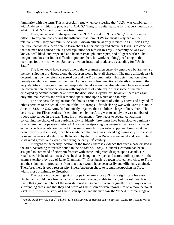familiarity with the term. This is especially true when considering that "U.S." was combined with Anderson's initials to produce "E.A.-U.S." Thus, it is quite feasible for that very question of what "E.A.-U.S." stood for to have been raised.

 The given answer to the question, that "U.S." stood for "Uncle Sam," is hardly more difficult to explain, considering the influence that Samuel Wilson most likely had on the relatively small Troy community. As a well-known citizen warmly referred to as "Uncle Sam," the little that we have been able to learn about his personality and character leads us to conclude that the man had gained quite a good reputation for himself in Troy. Apparently he was well known, well liked, and respected as a businessman, philanthropist, and diligent worker. The imagination does not find it difficult to picture, then, his workers jokingly referring to the markings for the meat, which Samuel's own business had produced, as standing for "Uncle Sam."

 The joke would have spread among the workmen then currently employed by Samuel, so the men shipping provisions along the Hudson would have all shared it. The more difficult task is determining how the reference spread beyond the Troy community. This determination relies heavily on who was present at the time. As has already been mentioned, details concerning the very identities of the questioner and responder, let alone anyone else who may have overheard the conversation, cannot be known with any degree of certainty. At least some of the men employed by Samuel would have heard the discussion. Beyond this, however, there are again only minimal records and well reasoned speculation upon which one can rely.

The one possible explanation that holds a certain amount of validity above and beyond all others pertains to the actual location of the U.S. troops. After declaring war with Great Britain in June of 1812, the U.S. Army had to quickly organize then mobilize a large military force. The very reason for Elbert Anderson's employment by the Army was to supply the vast number of troops who served in the war. Thus, his involvement in Troy leads to several conclusions concerning the choice of that particular city. Evidently, Troy must have been close to a military base where the troops were stationed. Also, the meatpacking businesses in that area must have earned a certain reputation that led Anderson to search for potential suppliers. From what has been previously discussed, it can be ascertained that Troy was indeed a growing city with a solid basis in business and enterprise. Its location by the Hudson River was essential and contributed to its rapid growth and expansion during the early  $19<sup>th</sup>$  century.

In regard to the nearby location of the troops, there is evidence that such a base existed in the area. According to records found in the *Annals of Albany*, "General Dearborn had been assigned to command of Northern frontier with some undigested designs upon Canada. He established his headquarters at Greenbush, as being on the open and natural military route to the enemy's territory by way of Lake Champlain."<sup>38</sup> Greenbush is a town located very close to Troy, and the shipment of provisions from that place would have been easily and efficiently attained. Therefore, there is good reason why Elbert Anderson chose to recruit meatpackers in Troy, within close proximity to Greenbush.

 The location of a contingent of troops in an area close to Troy is significant because Uncle Sam would have been a name or face easily recognizable to many of the soldiers. It is likely that a good number of the men stationed in Greenbush were originally from Troy or other surrounding areas, and that they had heard of Uncle Sam or even known him on a more personal level. Thus, when the story of Uncle Sam spread and the men saw the "E.A.-U.S." markings on

<sup>&</sup>lt;sup>38</sup> Annals of Albany Vol. 3 of 2<sup>nd</sup> Edition "Life and Services of Stephen Van Rensselaer" p.225, Troy Room Wilson Vol. 7.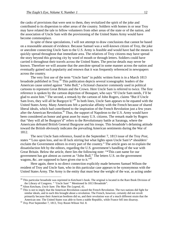the casks of provisions that were sent to them, they revitalized the spirit of the joke and contributed to its dispersion to other areas of the country. Soldiers with homes in or near Troy may have related the tale to fellow volunteers from other areas of the state or of the nation, and the association of Uncle Sam with the provisioning of the United States Army would have become commonplace.

 In spite of these speculations, I will not attempt to draw conclusions that cannot be based on a reasonable amount of evidence. Because Samuel was a well-known citizen of Troy, the joke or anecdote connecting Uncle Sam to the U.S. Army is feasible and would have had the means to quickly spread throughout that immediate area. The relatives of Troy citizens may have spread the story beyond this growing city by word of mouth or through letters. Soldiers could have carried it throughout their travels across the United States. The precise details may never be known. Therefore we will assume that the anecdote spread in some manner across the nation and eventually gained such popularity and renown that it was frequently referenced in newspapers across the country.

 The very first use of the term "Uncle Sam" in public written form is in a March 1813 broadside published in Troy.<sup>39</sup> This publication depicts several iconographic leaders of the American cause united against "John Bull," a fictional character commonly used in political cartoons to represent Great Britain and the Crown. Here Uncle Sam is referred to twice. The first reference is spoken by the cartoon depiction of Bonapart, who says "If Uncle Sam needs, I'll be glad to assist him." The second, a remark by the cartoon of John Rogers, claims "But if Uncle Sam lives, they will all be Burgoyn'd."<sup>40</sup> In both lines, Uncle Sam appears to be equated with the United States Army. Many Americans felt a particular affinity with the French because of shared liberal ideals, which had contributed to the inspiration of the French Revolution just a few years after the American Revolution.<sup>41</sup> Thus, the support of Napoleon to the U.S. Army would have been considered an honor and great asset by many U.S. citizens. The remark made by Rogers that "they will all be Burgoyn'd" refers to the Revolutionary battle at Saratoga, where the Americans defeated British General Burgoyne and his troops. This broadside's defaming attitude toward the British obviously indicates the prevailing American sentiments during the War of 1812.

 The next Uncle Sam reference, found in the September 7, 1813 issue of the Troy *Post*, states "'Loss upon loss, and no ill luck stirring but what lights upon Uncle Sam's\* shoulders' exclaim the Government editors in every part of the country." The article goes on to explain the dissatisfaction felt by the editors, regarding the U.S. government's handling of the war with Great Britain. Below the article, there lies the following note: "\*This cant name for our government has got almost as current as "John Bull." The letters U.S. on the government wagons, &c. are supposed to have given rise to it." $42$ 

 Here again, there is no direct connection explicitly made between Samuel Wilson the resident of Troy and Uncle Sam, who in this particular case appears to be synonymous with the United States Army. The Army is the entity that must bear the weight of the war, as acting under

 $39$  This particular broadside was reprinted in Ketchum's book. The original is located in the Rare Book Division of the Library of Congress. "Uncle Sam' "Mentioned In 1813 Broadside".

<sup>&</sup>lt;sup>40</sup> Alton Ketchum, *Uncle Sam: The Man The Legend*, 41.<br><sup>41</sup> This is not to imply that the American Revolution caused the French Revolution. The two nations did fight for similar ideals, and in each this brought about a revolution. The French, however, certainly did not revolt primarily because their American brethren did so, and their revolution was of a much different strain that the American one. The United States was able to form a stable Republic, while France fell into disarray. 42 *Troy Post* September 7, 1813, Troy Room Wilson Vol. 8.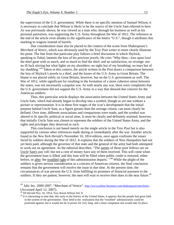the supervision of the U.S. government. While there is no specific mention of Samuel Wilson, it is necessary to conclude that Wilson is likely to be the source of the Uncle Sam referred to here. As was previously shown, he was viewed as a man who, through his business as well as his personal patriotism, was supporting the U.S. Army throughout the War of 1812. The reference at the end of the article even alludes to the significance of the letters "U.S.", though it attributes this marking to wagons instead of barrels.

 Due consideration must also be placed to the context of the scene from Shakespeare's *Merchant of Venice*, which was obviously used by the Troy *Post* writer to more clearly illustrate his point. The line from that particular play follows a brief discussion in which Shylock, speaking to Tubal, laments the loss of his precious jewels. He cries "Why thou—loss upon loss! the thief gone with so much, and so much to find the thief; and no satisfaction, no revenge: nor no ill luck stirring but what lights on my shoulders; no sighs but of my breathing; no tears but of my shedding."43 Taken in this context, the article written in the *Post* draws a comparison between the loss of Shylock's jewels to a thief, and the losses of the U.S. Army to Great Britain. The blame is not placed solely on Great Britain, however, but on the U.S. government as well. The War of 1812, while significant for resulting in the formation of a more cohesive union between the states, was not necessarily a popular war. As with nearly any war, there were complaints that the U.S. government did not support the U.S. Army in a way that showed due concern for the American soldiers.

 Thus, this particular article displays the association between the United States Army and Uncle Sam, which had already begun to develop into a symbol, though as yet one without a picture or representation. It is in these first stages of the icon's development that the initial purpose behind Uncle Sam, as a figure greater than the average citizen, can most clearly be defined. Over time, different associations and comparisons were made, and the symbol was altered to fit specific political or social aims. It must be clearly and definitely asserted, however, that initially Uncle Sam was chosen to represent the soldiers of the United States Army, and the rights and privileges they deserved as such.

 This conclusion is not based merely on the single article in the Troy *Post* but is also supported by various other references made during or immediately after the war. Another article, found in the *New York Herald*'s November 16, 1814 edition, once again confronts the issues faced by soldiers during the War of 1812. It explains that the soldiers of New Hampshire had not yet been paid, although the governor of that state and the general of the army had both attempted to work out an agreement. As the editorial describes, "The names of those poor fellows are on Uncle Sam's pay roll; but not a cent of money have any of them received. This will come when the government loan is filled, and this loan will be filled when public credit is restored, either before, or after 'the troubled right of this administration departs.' "<sup>44</sup> While the plight of the soldiers is given serious consideration as a concern of American citizens, the final conclusion remains that the government will resolve the issue in due time. At the present time, the circumstances of war prevent the U.S. from fulfilling its promises of financial payment to the soldiers. If they are patient, however, the men will wait to receive their dues in the near future.<sup>45</sup>

1

<sup>&</sup>lt;sup>43</sup> Jalic Inc. 2000-2007. "Merchant of Venice". http://www.online-literature.com/shakespeare/merchant/, (Accessed April 12, 2007).<br><sup>44</sup> NY Herald Nov. 16, 1814, Troy Room Wilson Vol. 8.

<sup>&</sup>lt;sup>45</sup> It is interesting to note that, this early in the history of the United States, it appears that the people had great faith in the system of the government. They held to the realization that the "troubled" administration could be protested against, but it would not be in power for very long, and a more competent one would take its place.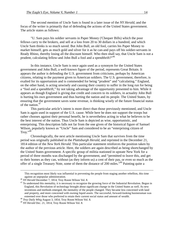The second mention of Uncle Sam is found in a later issue of the *NY Herald*, and the focus of the writer is primarily that of defending the actions of the United States government. The article states as follows:

"U. Sam pays his soldier servants in Paper Money ('Chequer Bills) which the poor fellows carry to the brokers, and sell at a loss from 20 to 30 dollars in a hundred, and which Uncle Sam thinks is so much saved. But John Bull, an old fool, carries his Paper Money to market himself, gets as much gold and silver for it as he can-and pays off his soldier-servants in Ready Rhino, thereby losing all the discount himself. Who then shall say, that Uncle Sam is not a prudent, calculating fellow-and John Bull a fool and a spendthrift?"<sup>46</sup>

In this instance, Uncle Sam is once again used as a synonym for the United States government and John Bull, a well-known figure of the period, represents Great Britain. It appears the author is defending the U.S. government from criticisms, perhaps by American citizens, relating to the payment given to American soldiers. The U.S. government, therefore, is exalted for its opportunism and is commended for being "prudent" and "calculating." England, on the other hand, is acting unwisely and causing their country to suffer in the long run for being a "fool and a spendthrift," by not taking advantage of the opportunity presented to him. While it appears as though England is giving due credit and concern to its soldiers, in actuality John Bull is hurting his own government and thus hurting the nation and its people. The United States, by ensuring that the government saves some revenue, is thinking wisely of the future financial status of the nation.<sup>47</sup>

This particular article's intent is more direct than those previously mentioned, and Uncle Sam is again used in support of the U.S. cause. While here he does not support the troops but rather chooses against their personal benefit, he is nevertheless acting in what he believes to be the best interest of the nation. Thus Uncle Sam is depicted as wise, opportunistic, and enterprising. This description falls not far from the one given of the historical figure of Samuel Wilson, popularly known as "Uncle" Sam and considered to be an "enterprising citizen of Troy." $48$ 

Chronologically, the next article mentioning Uncle Sam that survives from the time period was originally published in the *Plattsburgh Herald*, and reprinted in the December 21, 1814 edition of the *New York Herald*. This particular statement reinforces the position taken by the author of the previous article. Here, the soldiers are again described as being shortchanged by the United States government. A specific group of militia stationed in upstate New York for a period of three months was discharged by the government, and "permitted to leave this, and get to their homes as they can, without (as they inform us) a cent of their pay, or even so much as the offer of a single Treasury Note, some of them the distance of 200 miles."49 Painting quite a

This recognition most likely was influential in preventing the people from staging another rebellion, this time

against an unpopular administration.<br><sup>46</sup> *NY Herald* December 7, 1814, Troy Room Wilson Vol. 8.<br><sup>47</sup> To understand this mentality, it is necessary to recognize the growing force of the Industrial Revolution. Begun in England, this Revolution of technology brought about significant change in the United States as well. As new inventions and methods emerged, the mentality of the people changed. They became less concerned with land and property, and more concerned with owning liquid assets. The successful, forward-looking businessman was esteemed over those who preferred to retain their current social status and amount of wealth. 48 *Troy Daily Whig* August 3, 1854, Troy Room Wilson Vol. 8.

<sup>49</sup> *NY Herald* Dec. 21, 1814, Troy Room Wilson Vol. 8.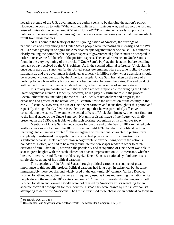negative picture of the U.S. government, the author seems to be deriding the nation's policy. However, he goes on to write "Who will not unite in this righteous war, and support the just and wise administration who declared it?-Union! Union!"<sup>50</sup> This statement clearly supports the policies of the government, recognizing that there are certain necessary evils that must inevitably result from those policies.

At this point in the history of the still-young nation of America, the stirrings of nationalism and unity among the United States people were increasing in intensity, and the War of 1812 aided greatly in bringing the American people together under one cause. This author is clearly making the point that the negative aspects of governmental policies must be accepted in order to receive the full benefit of the positive aspects. The actual reference to Uncle Sam is found in the very beginning of the article. "'Uncle Sam's Pay'-again" it states, before detailing the lack of pay received by the U.S. soldiers. As in the second editorial reference, Uncle Sam is once again used as a synonym for the United States government. Here the tone is slightly more nationalistic and the government is depicted as a nearly infallible entity, whose decisions should be accepted without question by the American people. Uncle Sam has taken on the role of a unifying force whose efforts bring about a cohesive union between the states. The end product will be the formation of one consolidated nation, rather than a series of separate states.

It is totally unrealistic to claim that Uncle Sam was responsible for bringing the United States together as a union. Evidently, however, he did play a significant role in the process. Several other factors, including the War of 1812, ideals of nationalism and progress, the expansion and growth of the nation, etc., all contributed to the unification of the country in the early 19<sup>th</sup> century. However, the use of Uncle Sam cartoons and icons throughout this period and especially through the Civil War, is evidence enough that he was particularly effective in consolidating the states. To examine the actual effects of Uncle Sam imagery, one must first turn to the initial stages of the Uncle Sam icon. Not until a visual image of the figure was finally presented in the 1830s was it able to gain such soaring recognition as it still enjoys today.

 Mentions of Uncle Sam in newspapers before the end of the War of 1812 remained only written allusions until at least the 1830s. It was not until 1832 that the first political cartoon featuring Uncle Sam was printed.<sup>51</sup> The emergence of this national character in picture form completely transformed the appellation into an actual physical icon. This transition is so significant because Uncle Sam was now recognizable to anyone living within the nation's boundaries. Before, one had to be a fairly avid, literate newspaper reader in order to catch citations of him. After 1832, however, the popularity and recognition of Uncle Sam was able to soar to great heights with the establishment of a visual representation. All Americans, whether literate, illiterate, or indifferent, could recognize Uncle Sam as a national symbol after just a single glance at one of his political cartoons.

 The depictions of the United States through political cartoons is a subject of great importance to this specific project. Political cartoons had long been in existence, but became immeasurably more popular and widely used in the early-mid  $19<sup>th</sup>$  century. Yankee Doodle, Brother Jonathan, and Columbia were all frequently used as icons representing the nation or its people during the mid-late 18<sup>th</sup> century and early 19<sup>th</sup> century. Interestingly, the images of both Brother Jonathan and Yankee Doodle were not created by American artists searching for an accurate pictorial description for their country. Instead they were drawn by British cartoonists attempting to deride the Americans. The British first used these characters in political cartoons in

<sup>&</sup>lt;sup>50</sup> *NY Herald* Dec. 21, 1814<br><sup>51</sup> Hess Kaplan, *The Ungentlemanly Art* (New York: The Macmillan Company, 1968), 35.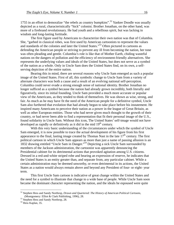1755 in an effort to demoralize "the rebels as country bumpkins".<sup>52</sup> Yankee Doodle was usually depicted as a rural, characteristically "hick" colonist. Brother Jonathan, on the other hand, was more of a firebrand revolutionary. He had youth and a rebellious spirit, but was lacking in wisdom and long-lasting fortitude.

The first figure used by Americans to characterize their own nation was that of Columbia. She, "garbed in classical robes, was first used by American cartoonists to represent the values and standards of the colonies and later the United States."53 Often pictured in cartoons as defending the American people or striving to prevent any ill from becoming the nation, her tone was often pleading and gentle. Columbia's role is like that of Mother Earth, chiding wasteful nations on the dangers of pollution and the efficiency of environment-friendly alternatives. She represents the underlying values and ideals of the United States, but does not serve as a symbol of the nation as a whole. Only in Uncle Sam does the United States find, on its own, a selfserving depiction of the entire nation.

Bearing this in mind, there are several reasons why Uncle Sam emerged as such a popular image of the United States. First of all, this symbolic change to Uncle Sam from a variety of alternate characters was both a cause and a result of an evolving national self-perception. Columbia could never evade a strong enough sense of national identity. Brother Jonathan no longer sufficed as a symbol because the nation had already grown incredibly, both literally and figuratively, since its initial founding. Uncle Sam provided a much more accurate or popular view of the Americans, as they tended to think of themselves. He was shown as wise, strong, and fair. As much as he may have fit the need of the American people for a definitive symbol, Uncle Sam also furthered that evolution that had already begun to take place before his instatement. He inspired many Americans to perceive their nation as a power in the league of Great Britain, as well as other European entities. Those who had never given much thought to the growth of their country, or had never been able to find a representation that fit their personal image of the U.S., found solidarity in Uncle Sam. Without this icon, The United States' self-image would not have developed as rapidly or definitively as it did in the mid  $19<sup>th</sup>$  century.

With this very basic understanding of the circumstances under which the symbol of Uncle Sam emerged, it is now possible to trace the actual development of his figure from his first appearance to the final, lasting image created by Thomas Nast in the late  $17<sup>th</sup>$  century. The first political cartoon in which Uncle Sam appears as more than just a name of passing allusion is an 1832 drawing entitled "Uncle Sam in Danger."54 Depicting a sick Uncle Sam surrounded by members of the Jackson administration, the cartoonist was apparently denouncing the Presidential cabinet for its detrimental actions that provoked agitation among U.S. citizens. Dressed in a red-and-white striped robe and bearing an expression of reserve, he indicates that the United States is an entity greater than, and separate from, any particular cabinet. While a certain administration may be deemed unworthy, or even detrimental in its actions, the United States as a nation would always remain above and beyond any President of four- or eight- year term.

This first Uncle Sam cartoon is indicative of great change within the United States and the need for a symbol to illustrate that change to a wide base of people. While Uncle Sam soon became the dominant character representing the nation, and the ideals he espoused were quite

<sup>&</sup>lt;sup>52</sup> Stephen Hess and Sandy Northrop, *Drawn and Quartered: The History of American Political Cartoons*, (Montgomery: Elliot & Clark Publishing, 1996), 28.

<sup>&</sup>lt;sup>53</sup> Stephen Hess and Sandy Northrop, 28.

<sup>&</sup>lt;sup>54</sup> Hess Kaplan, 35.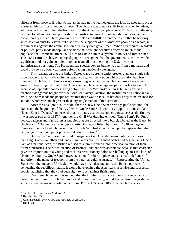different from those of Brother Jonathan, he had not yet gained quite the look he needed in order to sustain himself for a number of years. The picture was a major shift from Brother Jonathan, who was indicative of the rebellious spirit of the American people against England. Significantly, Brother Jonathan was used primarily in opposition to Great Britain and did not criticize the contemporary United States government. Uncle Sam fulfilled a unique role in that he not only acted as antagonist to Britain, but also was the supporter of the American people as a whole, in certain cases against the administration of its very own government. When a particular President or political party made unpopular decisions that wrought negative effects on much of the populace, the American citizen could turn to Uncle Sam as a symbol of unity and forbearance. This 1832 cartoon subtly encouraged people to recognize that the government's actions, while significant, did not gain complete support from all those serving the U.S. in various administrative positions. The President had special powers but he was far from a monarch and could only serve a four-year term before facing a national vote again.

This realization that the United States was a supreme entity greater than any single ruler gave people great confidence in the republican government upon which the nation had been founded. Uncle Sam's influence was far-reaching as a national symbol and may have aided greatly in repulsing the urge of the American people to rebel against particular leaders simply because of unpopular policies. Long before the Civil War broke out in 1861, tensions had reached a dangerous height over the issues of slavery, taxation, the institution of a national bank, etc. Uncle Sam made the people realize that there was an ideal of national unity to be reached for and one which was much greater than any single man or administration.

After the 1832 political cartoon, there are few Uncle Sam drawings published until the 1860s and the beginning of the Civil War. "Uncle Sam Sick with La Grippe" is quite similar to "Uncle Sam in Danger," and uses the same theme, characters, and circumstances as the first, yet it was not drawn until 1837.55 Another pre-Civil War drawing entitled "Uncle Sam's Pet Pups" depicts Jackson and Van Buren as puppies that are directed into a barrel, labeled as the Bank, by Uncle Sam.<sup>56</sup> Drawn by an anonymous artist, it was published by Elton in 1840 and again illustrates the use to which the symbol of Uncle Sam had already been put by representing the nation against an unpopular presidential administration.<sup>57</sup>

Before the Civil War, the London magazine *Punch* printed many political cartoons featuring Brother Jonathan and Uncle Sam. Years after the United States had begun using Uncle Sam as a national icon, the British refused to submit to such a pro-American version of their former territories. Their own creation of Brother Jonathan was acceptable because that character gave the impression of a young and reckless revolutionary colonist rebelling against the laws of his mother country. Uncle Sam, however, "stood for the complete and successful defiance of authority in the name of freedom from the paternal guiding strings."58 Representing the United States with the image of Uncle Sam would have been detrimental to the British purpose of demeaning the rebellious nation. It would have exalted the Americans as a wise and successful people, admitting that they had been right to rebel against British rule.

Over time, however, it is evident that the Brother Jonathan cartoons in *Punch* came to resemble the figure of Uncle Sam more and more. Eventually, actual Uncle Sam images did gain a place in the magazine's political cartoons. By the 1850s and 1860s, he had become so

<sup>&</sup>lt;sup>55</sup> Stephen Hess and Sandy Northrop, 29.

<sup>&</sup>lt;sup>56</sup> Hess Kaplan, 35.

<sup>57</sup> Alton Ketchum, *Uncle Sam: The Man The Legend*, 64. 58 IBID., 70.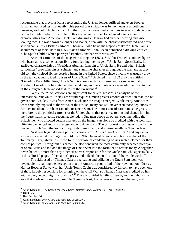recognizable that previous icons representing the U.S. no longer sufficed and even Brother Jonathan was used less frequently. This period of transition was by no means a smooth one, however, and both Uncle Sam and Brother Jonathan were used at various intervals to depict the nation formerly under British rule. In this exchange, Brother Jonathan adopted certain characteristics from American Uncle Sam drawings. He now had an older bearing and wiser looking face. He was shown as longer and leaner, often with the characteristically red-and-whitestriped pants. It is a British cartoonist, however, who bears the responsibility for Uncle Sam's acquirement of facial hair. In 1856 *Punch* cartoonist John Leech published a drawing entitled "The Spoilt Child," which portrayed Brother Jonathan with whiskers.<sup>59</sup>

As chief cartoonist of the magazine during the 1860s, Sir John Tenniel is another figure who bears at least some responsibility for adapting the image of Uncle Sam. Specifically, he attributed characteristics of President Abraham Lincoln to Uncle Sam. He and other British cartoonists "drew Lincoln as a sinister and saturnine character throughout the war, and as they did son, they helped fix the bearded image in the United States, since Lincoln was usually drawn in the tail coat and striped trousers of Uncle Sam."60 Depicted in an 1862 drawing entitled "Lincoln's Two Difficulties," Uncle Sam is shown with traits remarkably similar to that of Abraham Lincoln. He has retained the facial hair, and his countenance is nearly identical to that of the elongated, large-nosed features of the President.<sup>61</sup>

 While the *Punch* cartoons are significant for several reasons, an analysis of the international renown of Uncle Sam would require a much greater amount of attention than can be given here. Besides, it was from America whence the image emerged. While many Americans were certainly exposed to the works of the British, many had still never seen those depictions of Brother Jonathan, Abraham Lincoln, or Uncle Sam. The utmost consideration must be given, therefore, to the political cartoons of the United States that gave rise to him and shaped him into the figure that is so easily recognizable today. One man above all others, even including the British men who affected certain changes on the image, can alone be credited with the icon that ultimately emerged and is so recognizable to Americans. The cartoonist most responsible for the image of Uncle Sam that exists today, both domestically and internationally, is Thomas Nast.

Nast first began drawing political cartoons for *Harper's Weekly* in 1862 and enjoyed a successful career at the magazine until the 1890s. His most famous depiction was that of the Tammany Tiger, which he utilized for the purpose of condemning bosses such as Tweed for their corrupt politics. Throughout his career, he also contrived the most commonly accepted portrayal of Santa Claus and molded the image of Uncle Sam into the form that it retains today. Altogether it was he who, "more than any other artist, was responsible for the Uncle Sam who appears daily in the editorial pages of the nation's press, and indeed, the publication of the whole world." $62$ 

The skill used by Thomas Nast in recreating and utilizing the Uncle Sam icon was invaluable in adapting the perception that the American people had of their own nation. "Just as Harriet Beecher Stowe with her Uncle Tom's Cabin was considered by Lincoln to have been one of those largely responsible for bringing on the Civil War, so Thomas Nast was credited by him with having helped mightily to win it."<sup>63</sup> The war divided families, friends, and neighbors in a way that made unity seem impossible. Through Nast, Uncle Sam symbolized the unity and

<sup>&</sup>lt;sup>59</sup> Alton Ketchum. "The Search for Uncle Sam". *History Today* Volume 40 (April 1990): 25.<br><sup>60</sup> IBID., 25.

<sup>&</sup>lt;sup>60</sup> IBID., 25.<br><sup>61</sup> Hess Kaplan, 36.<br><sup>62</sup> Alton Ketchum, *Uncle Sam: The Man The Legend*, 94.

<sup>&</sup>lt;sup>63</sup> Alton Ketchum, *Uncle Sam: The Man The Legend*, 87.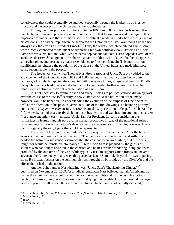cohesiveness that could eventually be attained, especially through the leadership of President Lincoln and the success of the Union against the Confederates.

Through various portrayals of the icon in the 1860s and 1870s, Thomas Nast modified the Uncle Sam image to produce one common depiction that he used over and over again. It is imperative to understand that Nast had a specific political agenda in mind when drawing each of his cartoons. As a radical republican, he supported the Union in the Civil War, though he did not always back the efforts of President Lincoln.<sup>64</sup> Thus, the ways in which he altered Uncle Sam were directly connected to the intent of supporting his own political views. Drawing an Uncle Sam with whiskers, red-and-white-striped pants, top hat and tail coat, Nast adopted several of the attributes that *Punch* had given to Brother Jonathan. In addition, he adapted the face to appear somewhat older, and bearing a greater resemblance to President Lincoln. This modification significantly heightened the popularity of the figure in the United States and made him more easily recognizable to the people.

The frequency with which Thomas Nast drew cartoons of Uncle Sam only added to the advancement of the icon. Between 1862 and 1880, he published over a dozen Uncle Sam cartoons, all of which depicted the character with the same clothes, visage, and bearing. Finally, the symbol had evolved to a point at which it no longer needed further alterations. Nast had established a definitive pictorial representation of Uncle Sam.

It is not necessary to examine each and every Uncle Sam political cartoon drawn by Nast over the course of the late  $19<sup>th</sup>$  century. A few examples of Nast's utilization of the image, however, would be beneficial to understanding the evolution of the purpose of Uncle Sam, as well as the alteration of his physical attributes. One of the first drawings is a haunting portrayal published in *Harper's Weekly* on July 7, 1866. Named "Why He Cannot Sleep,"<sup>65</sup> Uncle Sam lies fitfully awake in bed as a ghostly skeleton poses beside him and watches him attempt to sleep. At first glance one might easily mistake Uncle Sam for President Lincoln, considering the similarities in features and his portrayal in normal bedclothes instead of the traditional striped pants and top hat. Since the cartoon's date is after the assassination of Lincoln, however, Uncle Sam is logically the only figure that could be represented.

The intent of Nast in this particular depiction is quite direct and clear. After the terrible events of the Civil War had come to an end, "The memory of so much death and suffering needed the balm of a substantial assurance that the cost had been worthwhile, that the ideals fought for would be translated into reality."66 Here Uncle Sam is plagued by the ghosts of soldiers who had fought and died in the conflict, and he lies awake wondering if any good was produced by the outcome of the war. While typically used to support Union troops and never to advocate the Confederacy in any way, this particular Uncle Sam looks beyond the two opposing sides. He instead focuses on the common distress wrought on both sides by the Civil War and the effects that it had on the nation.

Another quite famous Nast drawing was "Uncle Sam's Thanksgiving Dinner,"<sup>67</sup> published on November 20, 1869. As a radical republican Nast believed that all Americans, no matter the ethnicity, race or color, should enjoy the same rights and privileges. This cartoon displays a Thanksgiving feast of a variety of food lying upon a table. Crowded around the large table are people of all races, ethnicities, and cultures. Uncle Sam is not actually depicted,

<u>.</u>

<sup>&</sup>lt;sup>64</sup> Morton Keller, *The Art and Politics of Thomas Nast* (New York: Oxford University Press, 1968), ix.<br><sup>65</sup> Morton Keller, [21].

 $^{65}$  Morton Keller, [21].

<sup>67</sup> Morton Keller, [64].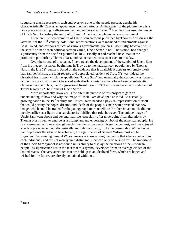suggesting that he represents each and everyone one of the people present, despite his characteristically Caucasian appearance in other cartoons. At the center of the picture there is a table piece advocating "self-government and universal suffrage."68 Nast has thus used the image of Uncle Sam to portray the unity of different American people under one government.

These are just two examples of Uncle Sam cartoons published by Thomas Nast during the latter half of the 19<sup>th</sup> century. Additional representations were included as indictments against Boss Tweed, and cartoons critical of various governmental policies. Essentially, however, while the specific aim of each political cartoon varied, Uncle Sam did not. The symbol had changed significantly from the one first pictured in 1832. Finally, it had reached its climax in the production put forth by Thomas Nast, and has remained consistent even to this day.

Over the course of this paper, I have traced the development of the symbol of Uncle Sam from his meager historical beginnings in Troy up to the national icon popularized by Thomas Nast in the late  $19<sup>th</sup>$  century. Based on the evidence that is available it appears extremely likely that Samuel Wilson, the long-revered and appreciated resident of Troy, NY was indeed the historical basis upon which the appellation "Uncle Sam" and eventually the cartoon, was formed. While this conclusion cannot be stated with absolute certainty, there have been no substantial claims otherwise. Thus, the Congressional Resolution of 1961 must stand as a valid statement of Troy's legacy as "The Home of Uncle Sam."

More importantly, however, is the alternate purpose of this project to gain an understanding of how and why the image of Uncle Sam developed as it did. As a steadily growing nation in the  $19<sup>th</sup>$  century, the United States needed a physical representation of itself that could portray the hopes, dreams, and ideals of the people. Uncle Sam provided that new image, which could be traded for the younger and more rebellious Brother Jonathan. He did not merely suffice as a figure that satisfactorily fulfilled that role, however. The unique image of Uncle Sam went above and beyond that role, especially after undergoing final alterations by Thomas Nast's pen, to emerge as a triumphant and endearing symbol of the American people. He has re-emerged with new strength each time the nation needs his guidance most, and has enjoyed a certain prevalence, both domestically and internationally, up to the present day. While Uncle Sam represents the ideal to be achieved, the significance of Samuel Wilson must not be forgotten. Recognizing Samuel Wilson means acknowledging the reality that ideals exist within each individual, and are not merely unrealistic goals that can only be wished for. The importance of the Uncle Sam symbol is not found in its ability to display the emotions of the American people. Its significance lies in the fact that this symbol developed from an average citizen of the United States. The very attributes that are held up in an idealized form, which are hoped and wished for the future, are already contained within us.

<u>.</u>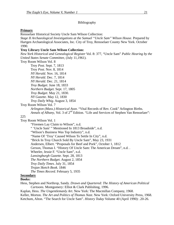## Bibliography

#### **Primary**

Rensselaer Historical Society Uncle Sam Wilson Collection:

*Stage II Archaeological Investigations at the Samuel "Uncle Sam" Wilson House*. Prepared by Hartgen Archaeological Associates, Inc. City of Troy, Rensselaer County New York. October 1990.

## **Troy Library Uncle Sam Wilson Collection:**

*New York Historical and Genealogical Register* Vol. 8: 377, "Uncle Sam" *Public Hearing by the United States Senate Committee*, (July 11,1961).

Troy Room Wilson Vol. 8

 Troy *Post.* Sept. 7, 1813 Troy *Post.* Nov. 8, 1814 *NY Herald.* Nov. 16, 1814 *NY Herald.* Dec. 7, 1814 *NY Herald.* Dec. 21, 1814 *Troy Budget.* June 18, 1833 *Northern Budget.* Sept. 17, 1805 *Troy Budget*. May 21, 1830. *NY Gazette*. May 12, 1830 *Troy Daily Whig.* August 3, 1854

Troy Room Wilson Vol. 7

*Arlington (Mass.) Historical Assn*. "Vital Records of Rev. Cook" Arlington Births. *Annals of Albany*, Vol. 3 of 2<sup>nd</sup> Edition. "Life and Services of Stephen Van Rensselaer":

### 225

Troy Room Wilson Vol. 1

"Firemen Lay Claim to Wilson", n.d.

" 'Uncle Sam' " Mentioned In 1813 Broadside", n.d.

"Wilson's Business Was Top Industry", n.d.

"Name Of 'Troy' Caused Wilson To Settle In City", n.d.

"Brick In Troy Church Sold By Uncle Sam", May 23, 1931

Andersen, Elbert. "Proposals for Beef and Pork", October 1, 1812

Gerson, Thomas I. "History Of Uncle Sam: The American Dream", n.d. .

Wheeler, Jessie F. "Uncle Sam", n.d.

*Lansingburgh Gazette*. Sept. 28, 1813

*The Northern Budget*. August 2, 1854

*Troy Daily Times*. July 31, 1854

*Trojan Sketch Book.* 1846

*The Times Record*. February 5, 1935

# **Secondary**

#### **Books:**

Hess, Stephen and Northrop, Sandy. *Drawn and Quartered: The History of American Political Cartoons*. Montgomery: Elliot & Clark Publishing, 1996.

Kaplan, Hess. *The Ungentlemanly Art*. New York: The Macmillan Company, 1968.

Keller, Morton. *The Art and Politics of Thomas Nast*. New York: Oxford University Press, 1968.

Ketchum, Alton. "The Search for Uncle Sam". *History Today* Volume 40 (April 1990): .20-26.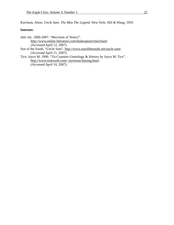Ketchum, Alton. *Uncle Sam: The Man The Legend*. New York: Hill & Wang, 1959

## **Internet:**

Jalic Inc. 2000-2007. "Merchant of Venice". http://www.online-literature.com/shakespeare/merchant/ (Accessed April 12, 2007).

Son of the South. "Uncle Sam". http://www.sonofthesouth.net/uncle-sam/ (Accessed April 21, 2007).

Tice, Joyce M. 1999. "Tri-Counties Genealogy & History by Joyce M. Tice". http://www.rootsweb.com/~nyrensse/lansing.htm). (Accessed April 10, 2007).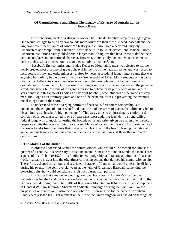## **Of Commissioners and Kings: The Legacy of Kenesaw Mountain Landis**  Joseph Baker

 The thundering crack of a slugger's wooden bat. The deliberative wrap of a judge's gavel. One would struggle to find any two sounds more American than those. Indeed, baseball and the law, two pre-eminent staples of American history and culture, hold a deep and uniquely American relationship. From "Sultan of Swat" Babe Ruth to Chief Justice John Marshall, both American institutions have yielded certain larger than life figures that have come to define their permanent places in our national character. However, there is only one man who has come to define their distinct intersection - a man they simply called the Judge.

 Baseball's first commissioner, Judge Kenesaw Mountain Landis was elected to fill the newly created post at a time of great upheaval in the life of the national game, and was forced to incorporate his law and order mindset - crafted by years as a federal judge - into a game that was anything but orderly in the wake of the Black Sox Scandal of 1919. Many students of the game cite Landis' half-century as commissioner as one of the principle reasons behind baseball's dramatic return from the brink of disaster, instilling a sense of justice and fairness to the game he loved, and giving fellow fans of the game a reason to believe in its purity once again. Yet, in stark contrast to this view of Landis as a savior of baseball, other students of the game's history mark the Judge as an arbitrary tyrant and one of the principle forces in preventing the eventual racial integration of the sport.

 To understand these diverging portraits of baseball's first commissionership is to understand the enigma of a man who filled that role and the series of events that ultimately led to his anointing as "baseball's high potentate."<sup>69</sup> This essay aims to do just that, by exploring the collision of forces that resulted in one of baseball's most enduring legends – a strong-willed federal judge with a knack for testing the bounds of his authority, given free reign over a sport in desperate straits that was searching for any semblance of a stabilizing force. This marriage freed Kenesaw Landis from the limits that characterized his time on the bench, leaving the national game, and his legacy as commissioner, at the mercy of the passions and flaws that ultimately defined him.

#### **I. The Making of the Judge**

 In order to understand Landis the commissioner, who would rule baseball for almost a quarter of a century, it is necessary to first understand Kenesaw Mountain Landis the man. Three aspects of his life before 1920 – his family, federal judgeship, and fanatic admiration of baseball – offer valuable insight into the oftentimes confusing actions that defined his commissionership. These forces shaped the unique and restricted character of Landis that would unleash itself fully during his twenty-five controversial years at the helm of Organized Baseball, cementing the powerful traits that would constitute this distinctly American persona

 It is fitting that a man who would go on to embody two of America's most beloved institutions – baseball and the law – was bestowed with a name that provided a direct link to the nation's most defining time. The Battle of Kennesaw Mountain in 1864 was a critical component of General William Tecumseh Sherman's "Atlanta Campaign" during the Civil War. For the purposes of our endeavor, it also the place where a Union surgeon by the name of Abraham Landis nearly lost a leg. That moment in the life of the Union surgeon was passed on through his

<sup>69</sup> Abrams. *Legal Bases: Baseball and the Law*, 95.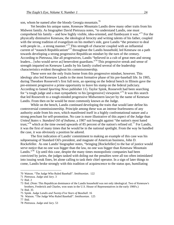son, whom he named after the bloody Georgia mountain.<sup>70</sup>

 Yet besides his unique name, Kenesaw Mountain Landis drew many other traits from his Midwest family. As biographer David Pietrusza notes, "to understand Landis, one must comprehend his family – and how highly visible, idea-oriented, and flamboyant it was.<sup>771</sup> For the physically diminutive Kenesaw, the ideological ferocity and writing talents of his father, coupled with the strong tradition of evangelism on his mother's side, gave Landis "the presence to deal with people in... a strong manner."<sup>72</sup> This strength of character coupled with an influential current of "staunch Republicanism"<sup>73</sup> throughout the Landis household, led Kenesaw on a path towards developing a strong progressive Republican mindset by the turn of the century. According to Pietrusza, like all progressives, Landis "believed in a cult of great men and strong leaders... [who would serve as] benevolent guardians."74 This progressive streak and sense of strength imparted on Kenesaw Landis by his family crafted several of the leadership characteristics evident throughout his commissionership.

 These were not the only fruits borne from this progressive mindset, however. This ideology also led Kenesaw Landis to the most formative phase of his pre-baseball life. In 1905, during Theodore Roosevelt's first full term, an opening on the federal bench in Illinois gave the pre-eminent progressive a prime opportunity to leave his stamp on the federal judiciary. According to famed *Sporting News* publisher J.G. Taylor Spink, Roosevelt had been searching for "a tough judge and a man sympathetic to his [progressive] viewpoint."75 It was this search that led Roosevelt to a tough-minded progressive Midwestern lawyer by the name of Kenesaw Landis. From then on he would be most commonly known as the Judge.

 While on the bench, Landis continued developing the traits that would later define his controversial commissionership. Principle among these was an intense fearlessness of any authority aside from his own, which manifested itself in a highly confrontational nature and a strong penchant for self-promotion. No case is more illustrative of this aspect of the Judge than *United States v. Standard Oil of Indiana*, a 1907 suit brought against "the nation's most hated trust,"<sup>76</sup> which at the time owned upwards of 85 percent of the nation's refined oil.<sup>77</sup> For Landis, it was the first of many times that he would be in the national spotlight. From the way he handled the case, it was obviously a position he adored.

 The first indication of Landis' commitment to making an example of this case was his subpoenaing of Standard Oil's president, and magnate of American business, John D. Rockefeller. As one Landis' biographer notes, "bringing [Rockefeller] to the bar of justice would serve notice that no one was bigger than the law, no one was bigger than Kenesaw Mountain Landis."<sup>78</sup> Up until this case, despite the many times monopolistic companies had been convicted by juries, the judges tasked with doling out the penalties were all too often intimidated into issuing weak fines, let alone calling to task their chief operator. In a sign of later things to come, Landis broke strongly with this tradition of acquiescence to the status quo, humiliating

<sup>70</sup> Watson. "The Judge Who Ruled Baseball"*. Smithsonian.* 122

<sup>71</sup> Pietrusza. *Judge and Jury*. 3

<sup>72</sup> Ibid. 2

<sup>73</sup> Ibid. (Note: This Republican dominance of the Landis household was not only ideological. Two of Kenesaw's brothers, Frederick and Charles, won seats in the U.S. House of Representatives in the early 1900's.)

<sup>74</sup> Ibid. 35

<sup>75</sup> Spink. *Judge Landis and Twenty-Five Years of Baseball*. 16

<sup>76</sup> Watson. "The Judge Who Ruled Baseball"*. Smithsonian.* 125

<sup>77</sup> Ibid.

<sup>78</sup> Pietrusza. *Judge and Jury*. 53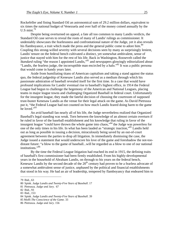Rockefeller and fining Standard Oil an astronomical sum of 29.2 million dollars, equivalent to six times the national budget of Venezuela and over half of the money coined annually by the U.S mint. $\frac{79}{9}$ 

 Despite being overturned on appeal, a fate all too common to many Landis verdicts, the Standard Oil case serves to reveal the roots of many of Landis' rulings as commissioner. It undeniably showcases the fearlessness and confrontational nature of the Judge, yet it also reveals his flamboyance, a trait which made the press and the general public come to adore him.<sup>80</sup> Coupling this strong-willed severity with several decisions seen by many as surprisingly lenient, Landis' tenure on the federal bench cultivated a distinct, yet somewhat ambivalent, sense of justice that stayed with him for the rest of his life. Back in Washington, Roosevelt called the *Standard* ruling "the reason I appointed Landis,"<sup>81</sup> and newspapers glowingly editorialized about "Landis, the fearless judge, the incorruptible man encircled by a halo."<sup>82</sup> It was a public persona that would come in handy years later.

 Aside from humiliating titans of American capitalism and taking a stand against the status quo, the federal judgeship of Kenesaw Landis also served as a medium through which his passionate admiration of baseball revealed itself for the first time. In a case that would have profound implications for Landis' eventual rise to baseball's highest office, in 1914 the Federal League had begun to challenge the hegemony of the American and National Leagues, placing teams in major league towns and challenging Organized Baseball in federal court. Unfortunately for the insurgent league, they made the fateful decision of choosing the courtroom of supposed trust-buster Kenesaw Landis as the venue for their legal attack on the game. As David Pietrusza put it, "the Federal League had not counted on how much Landis feared doing harm to the game he loved."<sup>83</sup>

 An avid baseball fan nearly all of his life, the Judge nevertheless realized that Organized Baseball's legal standing was weak. Torn between the knowledge of an almost certain overturn if he ruled in favor of the baseball establishment and his knowledge that ruling in favor of the insurgent league "could have thrown the whole game into chaos,"<sup>84</sup> the Judge was powerless for one of the only times in his life. In what has been lauded as "strategic inaction,"<sup>85</sup> Landis held out as long as possible in issuing a decision, miraculously being saved by an out-of-court agreement between the parties to drop all litigation. In immediately dismissing the case, the Judge issued a statement that would underscore his love of the game and foreshadow the not-toodistant future: "a blow to the game of baseball...will be regarded as a blow to one of our national institutions."<sup>86</sup>

 By the time the Federal League litigation had reached its end in 1915, the defining traits of baseball's first commissioner had been firmly established. From his highly-developmental years in the household of Abraham Landis, on through to his years on the federal bench, Kenesaw Landis by the second decade of the  $20<sup>th</sup>$  century had proven to be a fearless advocate of a somewhat ambivalent sense of justice, unphased by the political and financial establishments that stood in his way. He had an air of leadership, tempered by flamboyancy that endeared him to

1

<sup>79</sup> Ibid., 63

<sup>80</sup> Spink. *Judge Landis and Twenty-Five Years of Baseball*. 17

<sup>81</sup> Pietrusza. *Judge and Jury*. 67

<sup>82</sup> Ibid., 93

<sup>83</sup> Ibid., 153

<sup>84</sup> Spink. *Judge Landis and Twenty-Five Years of Baseball*. 39

<sup>85</sup> Moffi *The Conscience of the Game.* 33

<sup>86</sup> Pietrusza. *Judge and Jury*. 156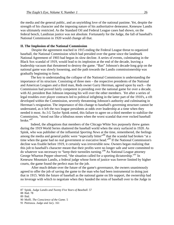the media and the general public, and an unyielding love of the national pastime. Yet, despite the strength of his character and the imposing nature of his authoritative demeanor, Kenesaw Landis was ultimately restricted. As the Standard Oil and Federal League cases had shown, on the federal bench, Landisian justice was not absolute. Fortunately for the Judge, the fall of baseball's National Commission in 1920 would change all that.

#### **II. The Implosion of the National Commission**

 Despite the agreement reached in 1915 ending the Federal League threat to organized baseball, the National Commission which had presided over the game since the landmark National Agreement of 1903 had begun its slow decline. A series of events, culminating in the Black Sox scandal of 1919, would lead to its implosion at the end of the decade, leaving a leadership vacuum that threatened to destroy the game. "Ban" Johnson's decade-long grip on the national game was slowly loosening, and the path towards the Landis commissionership was gradually beginning to form.

 The key to understanding the collapse of the National Commission is understanding the importance of its structure. Consisting of three men – the respective presidents of the National and American Leagues and a third man, Reds owner Garry Herrman, agreed upon by each – the Commission had proved fairly competent in presiding over the national game for over a decade, with AL president Ban Johnson imposing his will over the other members. Yet after a series of legal troubles over player contracts led to political infighting in the latter part of the 1910's, a rift developed within the Commission, severely threatening Johnson's authority and culminating in Herrman's resignation. The importance of this change to baseball's governing structure cannot be understated, as it left the two league presidents at odds over leadership at a time when they needed it most. As J.G Taylor Spink noted, this failure to agree on a third member to stabilize the Commission, "stood out like a bibulous noses when the worst scandal that ever rocked baseball broke."87

 Indeed, the allegations that members of the Chicago White Sox purposely threw games during the 1919 World Series shattered the baseball world when the story surfaced in 1920. As Spink, who was publisher of the influential *Sporting News* at the time, remembered, the feelings among the media and general public were "especially bitter"<sup>88</sup> that the scandal had broken "at a time when the game had no real government or executive head."<sup>89</sup> If the National Commission's decline was fixable before 1919, it certainly was irreversible now. Owners began realizing that this jolt to baseball's character meant that their profits were no longer safe and were committed to do whatever was necessary to "keep their turnstiles turning."90 As National League attorney George Wharton Pepper observed, "the situation called for a sporting dictatorship."<sup>91</sup> In Kenesaw Mountain Landis, a federal judge whose form of justice was forever limited by higher courts, the game found the perfect man for the job.

 After much debate over the future of the game's governance, the owners unanimously agreed to offer the job of saving the game to the man who had been instrumental in doing just that in 1915. With the future of baseball as the national game on life support, the ownership had no leverage with which to negotiate when they handed the reins of baseball over to the Judge in

<sup>87</sup> Spink. *Judge Landis and Twenty Five Years of Baseball*. 57

<sup>88</sup> Ibid. 78

<sup>89</sup> Ibid.

<sup>90</sup> Moffi. *The Conscience of the Game*. 5

<sup>91</sup> Pietrusza. *Judge and Jury*. 161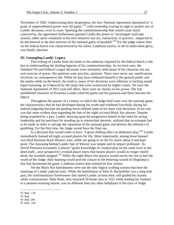November of 1920. Underscoring their desperation, the new National Agreement amounted to "a grant of unprecedented power over the game,"<sup>92</sup> with ownership waving its right to protest any of Landis' decisions, even in court. Sparking the commissionership that would cause much controversy, the agreement furthermore granted Landis the power to "investigate [and take action], either upon complaint or his own initiative any act, transaction, or practice...suspected to be detrimental to the best interests of the national game of baseball."<sup>93</sup> For the judge whose time on the federal bench was characterized by his limits, Landisian justice, in all its ambivalent glory, was finally absolute.

#### **III. Untangling Landis' Legacy**

 This freeing of Landis from the limits to his authority imposed by the federal bench is the key to understanding the dueling legacies of his commissionership. As we have seen, the Standard Oil and Federal League decisions were ultimately indications of his character not any real exercise of power. His opinions were just that, opinions. There were never any ramifications involved, no consequences felt. While he may have endeared himself to the general public and the media while on the bench, the truth is, many of his decisions were arbitrary or lacking sound legal reasoning, as evidenced by the many that were overturned by higher courts. Yet once the National Agreement of 1921 took full effect, there were no checks on his power. The full, uninhibited character of Kenesaw Landis ruled the game and his passions and flaws became his legacy.

 Throughout the quarter of a century in which the Judge held court over the national game, the characteristics that he had developed during his youth and exhibited forcefully during his federal judgeship became the guiding forces behind some of his most vital decisions. In no case was this more evident than regarding the fate of the eight accused Black Sox players. Despite being acquitted by a jury, Landis, drawing upon his progressive beliefs in the need for strong leadership and his penchant for standing up to entrenched interests, realized that an example had to be made in order to salvage the reputation of the national game and destroy the influence of gambling. For the first time, the Judge would have the final say.

In a decision that would come to have "a great chilling effect on dishonest play,"<sup>94</sup> Landis immediately banned all eight accused players for life. Most importantly, among those banned was third baseman Buck Weaver, who, while not going in on the fix, knew about it and kept quiet. The reasoning behind Landis' ban of Weaver was simple and its impact profound. As David Pietrusza recounted, it placed "guilty knowledge of crooked play on the same level as the deed itself...once prospective crooked player knew that honest players would no longer shield them, the scandals stopped."95 While the eight Black Sox players would not be the last to feel the wrath of the Judge, their banning would provide closure to the festering wound of illegitimacy that had threatened the game. Landisian justice had claimed its first victory.

 Yet the Black Sox banishments were not the only legacy-crafting actions that bore the markings of Landis' judicial traits. While the humiliation of John D. Rockefeller was a long time past, the confrontational fearlessness that stoked Landis' actions then, still guided his actions while commissioner. Babe Ruth, who smacked 59 home runs in 1921 while leading his Yankees to a pennant-winning season, was no different than any other ballplayer in the eyes of Judge

<sup>92</sup> Ibid., 178

<sup>93</sup> Ibid.

<sup>94</sup> Ibid. 188

<sup>95</sup> Ibid., 194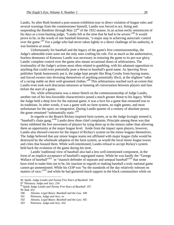Landis. So after Ruth booked a post-season exhibition tour in direct violation of league rules and several warnings from the commissioner himself, Landis was forced to act, fining and suspending the Bambino through May  $22<sup>nd</sup>$  of the 1922 season. In an action eerily reminiscent of his days as a trust-busting judge, "Landis felt at the time that he had to be severe."<sup>96</sup> It would prove to be, in the words of one baseball historian, "a major step in achieving autocratic control over the game."<sup>97</sup> For a judge who had never taken lightly to a direct challenge of his authority, it was business as usual.

 Unfortunately for baseball and the legacy of the game's first commissionership, the Judge's admirable traits were not the only ones crafting his rule. For as much as the authoritative, fearless demeanor of Kenesaw Landis was necessary in restoring the game to its pre-war glory, Landis' complete control over the game also meant occasional doses of arbitrariness. The irrationality of the Judge's actions most often related to gambling, with his adamant opposition to anything that could even potentially pose a threat to baseball's good name. As *Sporting News*  publisher Spink humorously put it, the judge kept people like Bing Crosby from buying teams, and forced owners into divesting themselves of anything potentially illicit, at the slightest "odor of a racing stable on their well-groomed clothes."98 This arbitrariness reached such an extent that Landis even took such draconian measures as banning all conversation between players and fans before the start of a game.

 Yet, while arbitrariness was a minor blotch on the commissionership of Judge Landis, another one of his less-favorable characteristics posed a much greater threat to his legacy. While the Judge held a deep love for the national game, it was a love for a game that remained true to its traditions. In other words, it was a game with no farm system, no night games, and most unfortunate for the sport, no integration. During Landis quarter of a century of absolute power, the game remained "substantially static."<sup>99</sup>

 In regards to the Branch Rickey-inspired farm system, or as the Judge lovingly termed it, "baseball's chain gang,"100 Landis drew three chief complaints. Principle among these was that farms inhibited the free movement of players by tying them up in the minors rather than allowing them an opportunity at the major league level. Aside from the impact upon players, however, Landis also showed concern for the impact of Rickey's system on the minor leagues themselves. The Judge believed that any minor league teams not affiliated with major league clubs would be destroyed by the wholesale adoption of the farm system, as would the local minor league towns and cities that housed them. While well-intentioned, Landis refusal to accept Rickey's system held back the evolution of the game during his term.

 Landis' traditional view of baseball also had a less well-intentioned component, in the form of an implicit acceptance of baseball's segregated status. While he was hardly the "George Wallace of baseball"<sup>101</sup> or "staunch defender of separate and unequal baseball"<sup>102</sup> that some have tried to make him out to be, his inaction in regards to making baseball a truly national game cannot go unmentioned. While his GOP was "by the standards of the day relatively tolerant on matters of race,"<sup>103</sup> and while he had garnered much support in the black communities while on

99 Ibid. 431

<sup>96</sup> Spink. *Judge Landis and Twenty Five Years of Baseball.* 104

<sup>97</sup> Pietrusza. *Judge and Jury*. 234

<sup>98</sup> Spink *Judge Landis and Twenty Five Years of Baseball*. 107

<sup>100</sup> Abrams. *Legal Bases: Baseball and the Law*. 100

<sup>101</sup> Pietrusza. *Judge and Jury*. xv

<sup>102</sup> Abrams. *Legal Bases: Baseball and the Law.* 105

<sup>103</sup> Pietrusza. *Judge and Jury*. 432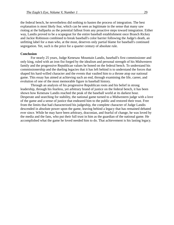the federal bench, he nevertheless did nothing to hasten the process of integration. The best explanation is most likely fear, which can be seen as legitimate in the sense that many saw rioting at the ballparks as the potential fallout from any proactive steps toward integration. Either way, Landis proved to be a scapegoat for the entire baseball establishment once Branch Rickey and Jackie Robinson combined to break baseball's color barrier following the Judge's death, an unfitting label for a man who, at the most, deserves only partial blame for baseball's continued segregation. Yet, such is the price for a quarter century of absolute rule.

#### **Conclusion**

 For nearly 25 years, Judge Kenesaw Mountain Landis, baseball's first commissioner and only king, ruled with an iron fist forged by the idealism and personal strength of his Midwestern family and the progressive Republican values he honed on the federal bench. To understand his commissionership and the dueling legacies that it has left behind is to understand the forces that shaped his hard-willed character and the events that vaulted him to a throne atop our national game. This essay has aimed at achieving such an end, through examining the life, career, and evolution of one of the most memorable figure in baseball history.

 Through an analysis of his progressive Republican roots and his belief in strong leadership, through his fearless, yet arbitrary brand of justice on the federal bench, it has been shown how Kenesaw Landis reached the peak of the baseball world at its darkest hour. Desperate and searching for stability, the national game turned to a Midwestern judge with a love of the game and a sense of justice that endeared him to the public and restored their trust. Free from the limits that had characterized his judgeship, the complete character of Judge Landis descended in absolute power upon the game, leaving behind a legacy that has remained debated ever since. While he may have been arbitrary, draconian, and fearful of change, he was loved by the media and the fans, who put their full trust in him as the guardian of the national game. He accomplished what the game he loved needed him to do. That achievement is his lasting legacy.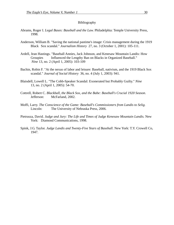#### Bibliography

- Abrams, Roger I. *Legal Bases: Baseball and the Law.* Philadelphia: Temple University Press, 1998.
- Anderson, William B. "Saving the national pastime's image: Crisis management during the 1919 Black Sox scandal." *Journalism History* 27, no. 3 (October 1, 2001): 105-111.
- Ardell, Jean Hastings. "Baseball Annies, Jack Johnson, and Kenesaw Mountain Landis: How Groupies Influenced the Lengthy Ban on Blacks in Organized Baseball." *Nine* 13, no. 2 (April 1, 2005): 103-109
- Bachin, Robin F. "At the nexus of labor and leisure: Baseball, nativism, and the 1919 Black Sox scandal." *Journal of Social History* 36, no. 4 (July 1, 2003): 941.
- Blaisdell, Lowell L. "The Cobb-Speaker Scandal: Exonerated but Probably Guilty." *Nine*  13, no. 2 (April 1, 2005): 54-70.
- Cottrell, Robert C. *Blackball, the Black Sox, and the Babe: Baseball's Crucial 1920 Season*. Jefferson: McFarland, 2002.
- Moffi, Larry. *The Conscience of the Game: Baseball's Commissioners from Landis to Selig.* Lincoln: The University of Nebraska Press, 2006.
- Pietrusza, David. *Judge and Jury: The Life and Times of Judge Kenesaw Mountain Landis.* New York: Diamond Communications, 1998.
- Spink, J.G. Taylor. *Judge Landis and Twenty-Five Years of Baseball*. New York: T.Y. Crowell Co, 1947.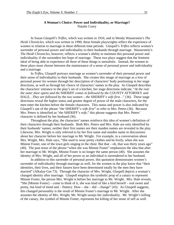### **A Woman's Choice: Power and Individuality, or Marriage?**  Natalie Corey

In Susan Glaspell's *Trifles*, which was written in 1916, and in Wendy Wasserstein's *The Heidi Chronicles*, which was written in 1990, these female playwrights reflect the experience of women in relation to marriage in these different time periods. Glaspell's *Trifles* reflects women's surrender of personal power and individuality to their husbands through marriage. Wasserstein's *The Heidi Chronicles*, however, reflects a woman's ability to maintain this personal power and individuality if she surrenders her hope of marriage. These two plays suggest that the feminist ideal of being able to experience all three of these things is unrealistic. Instead, the women in these plays must choose between the maintenance of a sense of personal power and individuality and a marriage.

 In *Trifles*, Glaspell portrays marriage as women's surrender of their personal power and their sense of individuality to their husbands. She creates this image of marriage as a loss of personal power for women through her description of characters' body positioning in her stage directions, as well as through her choice of characters' names in the play. As Glaspell describes the characters' entrance to the play's set of a kitchen, her stage directions indicate, "*At the rear the outer door opens and the* SHERIFF *comes in followed by the* COUNTY ATTORNEY *and*  HALE*…They are followed by the two women – the* SHERIFF'*s wife first…*" (36). These stage directions reveal the higher status and greater degree of power of the male characters, for the men enter the kitchen before the female characters. This status and power is also indicated by Glaspell's use of the phrase "*the* SHERIFF'*s wife first*" to refer to Mrs. Peters (36). Because Mrs. Peters is identified as "*the* SHERIFF'*s wife*," this phrase suggests that Mrs. Peters' character is defined by her husband (36).

Throughout the play, the characters' names reinforce this idea of women's definition of their characters through their husbands. Both Mrs. Peters and Mrs. Hale are only identified by their husbands' names; neither their first names nor their maiden names are revealed in the play. Likewise, Mrs. Wright is only referred to by her first name and maiden name in discussions about her character before her marriage to Mr. Wright. For example, in a conversation about Mrs. Wright, Mrs. Hale says, "She used to wear pretty clothes and be lively, when she was Minnie Foster, one of the town girls singing in the choir. But that – oh, that was thirty years ago" (40). The past tense of the phrase "when she was Minnie Foster" emphasizes the idea that after her marriage to Mr. Wright, Minnie Foster is no longer the same person (40). She assumes the identity of Mrs. Wright, and all of her power as an individual is surrendered to her husband.

In addition to this surrender of personal power, this quotation demonstrates women's surrender of individuality through marriage as well, for the women in the play know that "their identities, their lives, and their futures have been determined totally by the men they have married" (Alkalay-Gut 73). Through the character of Mrs. Wright, Glaspell depicts a woman's changed identity after marriage. Glaspell employs the symbolic prop of a canary to represent Minnie Foster, the person Mrs. Wright is before her marriage to Mr. Wright. Mrs. Hale reveals, "She [Minnie Foster] – come to think of it, she was kind of like a bird herself – real sweet and pretty, but kind of timid and – fluttery. How – she – did – change" (43). As Glaspell suggests, this changed personality is the result of Minnie Foster's marriage to Mr. Wright. After she assumes the identity of Mrs. Wright, Mr. Wright usurps her individuality. Mr. Wright's killing of the canary, the symbol of Minnie Foster, represents his killing of her sense of self as well.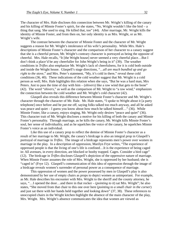The character of Mrs. Hale discloses this connection between Mr. Wright's killing of the canary and his killing of Minnie Foster's spirit, for she states, "No, Wright wouldn't like the bird – a thing that sang. She used to sing. He killed that, too" (44). After marriage, Mr. Wright kills the identity of Minnie Foster, and from then on, her only identity is as Mrs. Wright, or as Mr. Wright's wife.

The contrast between the character of Minnie Foster and the character of Mr. Wright suggests a reason for Mr. Wright's intolerance of his wife's personality. While Mrs. Hale's descriptions of Minnie Foster's character and the comparison of her character to a canary suggest that she is a cheerful person, Mr. Wright's contrary character is portrayed as being the opposite of cheerful. Mrs. Hale recalls, "It [the Wright house] never seemed a very cheerful place…But I don't think a place'd be any cheerfuller for John Wright's being in it" (39). The weather conditions in *Trifles* also emphasize Mr. Wright's lack of cheerfulness, for it is cold both outside and inside the Wright house. Glaspell's stage directions, "*…all are much bundled up and go right to the stove*," and Mrs. Peter's statement, "My, it's cold in there," reveal these cold conditions (36, 40). These indications of the cold weather suggest that Mr. Wright is a cold person as well; Mrs. Hale highlights this relation when she says, "But he was a hard man, Mrs Peters. Just to pass the time of day with him – (*shivers*) like a raw wind that gets to the bone" (42). The word "*shivers*," as well as the comparison of Mr. Wright to "a raw wind," emphasizes the connection between the cold weather and Mr. Wright's cold character (42).

Glaspell also reveals this difference between Minnie Foster's character and Mr. Wright's character through the character of Mr. Hale. Mr. Hale states, "I spoke to Wright about it [a party telephone] once before and he put me off, saying folks talked too much anyway, and all he asked was peace and quiet – I guess you know about how much he talked himself..." (36). While Minnie Foster, like a canary, enjoys singing, Mr. Wright only desires "peace and quiet" (36). This character trait of Mr. Wright discloses a motive for his killing of both the canary and Minnie Foster's personality. Through marriage, as he kills the canary, Mr. Wright kills Minnie Foster's soul, her sense of individuality, and as he squelches the voice of the canary, he squelches Minnie Foster's voice as an individual.

Like this use of a canary prop to reflect the demise of Minnie Foster's character as a result of her marriage to Mr. Wright, the canary's birdcage is also an integral prop in Glaspell's portrayal of marriage in *Trifles*. The image of a birdcage represents men's power over women in marriage in the play. In a description of oppression, Marilyn Frye writes, "The experience of oppressed people is that the living of one's life is confined…It is the experience of being caged in: All avenues, in every direction, are blocked or booby trapped. Cages. Consider a bird cage" (12). The birdcage in *Trifles* discloses Glaspell's depiction of the oppressive nature of marriage. When Minnie Foster assumes the role of Mrs. Wright, she is oppressed by her husband; she is "caged in" (Frye 12). Glaspell's communication of this idea of oppression through the image of a birdcage reveals women's surrender of personal power as a consequence of marriage.

This oppression of women and the power possessed by men in Glaspell's play is also demonstrated by her use of empty chairs as props to depict women as unimportant. For example, as Mr. Hale describes his encounter with Mrs. Wright to the sheriff and the county attorney, he says, "…I opened the door…and there in that rocker – (*pointing to it*) sat Mrs. Wright"; he also states, "She moved from that chair to this one over here (*pointing to a small chair in the corner*) and just sat there with her hands held together and looking down" (37, 38). These references to unoccupied chairs in the Wright kitchen highlight the absence of the main character of the play, Mrs. Wright. Mrs. Wright's absence communicates the idea that women are viewed as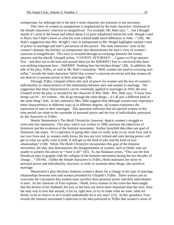unimportant, for although she is the play's main character, her presence is not necessary.

This view of women as unimportant is emphasized by the male characters' dismissal of the female characters' concerns as insignificant. For example, Mr. Hale says, "…but I thought maybe if I went to the house and talked about it [a party telephone] before his wife, though I said to Harry that I didn't know as what his wife wanted made much difference to John –" (36). Mr. Hale's suggestion that Mrs. Wright's view is unimportant to Mr. Wright highlights women's lack of power in marriage and men's possession of this power. The male characters' view of the women's domain, the kitchen, as unimportant also demonstrates the men's view of women's concerns as insignificant. This view is revealed through an exchange between the county attorney and the sheriff; Glaspell writes, "COUNTY ATTORNEY: …I guess we'll go upstairs first – and then out to the barn and around there (*to the* SHERIFF) You're convinced that there was nothing important here…SHERIFF: Nothing here but kitchen things" (38). In addition, the title of the play, *Trifles*, as well as Mr. Hale's statement, "Well, women are used to worrying over trifles," reveals the male characters' belief that women's concerns are trivial and that women do not deserve to possess power in their marriages (38).

Through *Trifles*, Glaspell reflects this lack of power for women and the loss of women's individuality as characteristics of the relationship between men and women in marriage. The suggestion that these characteristics can be commonly applied to marriages in 1916, the year Glaspell wrote the play, is revealed by the character of Mrs. Hale. Mrs. Hale says, "I know how things can be – for women…We all go through the same things – it's all just a different kind of the same thing" (44). In this statement, Mrs. Hale suggests that although women may experience these characteristics in different ways or in different degrees, all women experience the repression of men in their marriages. This quotation indicates that all married women in this time period can relate to the surrender of personal power and the loss of individuality portrayed by the characters in *Trifles*.

Wendy Wasserstein's *The Heidi Chronicles*, however, depicts women's struggle to overcome this repression. This play, which was written in 1990, portrays the objectives of feminism and the evolution of the feminist movement. Kathie Sarachild describes one goal of feminism; she states, "It's a question of going after what we really want in our work lives and in our love lives-and, as women really know, the two are very related-and only having power will get us what we really want in both. It will get us the kind of jobs *and* the kind of love relationships" (158). While *The Heidi Chronicles* incorporates this goal of the feminist movement, the play also demonstrates the disappointment of women, such as Heidi, who are unable to achieve this desire to "'have it all'" (45). As Jan Balakian writes, "This was the first Broadway play to grapple with the collapse of the feminist movement during the two decades of change…" (93-94). Unlike the female characters in *Trifles*, Heidi maintains her sense of personal power and individuality; however, in order to maintain these things, she sacrifices marriage.

Wasserstein's play discloses feminist women's desire for a change in the type of marriage relationships between men and women presented by Glaspell's *Trifles*. These women aim to overcome the conception that women must sacrifice their personal power and their individuality to men. As the character of Fran explains, "Heidi, every woman in this room has been taught that the desires of her husband, her son, or her boss are much more important than her own. Now the only way to turn that around, is for us, right here, to try to make what *we* want, what we desire, to be as vital to us as it would undoubtedly be to any man" (23). In this quotation, Fran reveals the feminist movement's objection to the idea portrayed in *Trifles* that women's sense of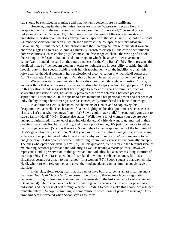self should be sacrificed in marriage and that women's concerns are insignificant.

However, despite these feminists' hopes for change, Wasserstein reveals Heidi's disappointment with the realization that it is not possible to "'have it all,'" personal power, individuality, and a marriage (45). Heidi realizes that the goals of the early feminists are unrealistic. Her disappointment is conveyed in her speech at the Miss Crain's School East Coast Alumnae Association luncheon in which she "addresses the collapse of feminist idealism" (Balakian 99). In this speech, Heidi characterizes the stereotypical image of the ideal woman, one who juggles a career at Colombia University, "aerobics class[es]," the care of her children, domestic duties, such as cooking "grilled mesquite free-range chicken," the writing of a book, the reading of "*Inferno* in Italian," and a marriage in which she advises "her investment banker/well-rounded husband on the future finances for the City Ballet" (59). Heidi presents this idealized image of the modern woman in order to highlight the impossibility of achieving this model. Later in her speech, Heidi reveals her disappointment with the inability to attain this lofty goal for the ideal woman in her recollection of a conversation in which Heidi confesses, "…'No, Jeanette, I'm just not happy. I'm afraid I haven't been happy for some time'" (62).

 Wasserstein also communicates Heidi's disappointment through her question, "Susie, do you ever think that what makes you a person is also what keeps you from being a person?" (55). In this question, Heidi suggests that her struggle to achieve the goals of feminism, such as advocating her sense of self, has actually prevented her from achieving her own personal aspirations. For example, Heidi appears to have maintained her personal power and her sense of individuality through her career, yet she has consequently surrendered her hope of marriage.

In addition to Heidi's character, the characters of Denise and Scoop covey this disappointment as well. The character of Denise highlights this disappointment when she asks, "I mean, isn't that what you guys fought for? So we could 'have it all.' I mean, don't you want to have a family, Heidi?" (45). Denise also states, "Well, like, a lot of women your age are very unhappy. Unfulfilled, frightened of growing old alone…My friends want to get married in their twenties, have their first baby by thirty, and make a pot of money. It's just much more together than your generation" (57). Furthermore, Scoop refers to the disappointment of the feminists of Heidi's generation in his assertion, "But if you aim for ten in all things and get six, you're going to be very disappointed. And unfortunately, that's why you 'quality time' girls are going to be one generation of disappointed women. Interesting, exemplary, even sexy, but basically unhappy. The ones who open doors usually are" (39). In this quotation, "ten" refers to the feminist ideal of maintaining personal power and individuality, as well as having a marriage; "six," however, represents Heidi's preservation of this power and individuality, but also her resulting sacrifice of marriage (39). The phrase "open doors" is related to women's reliance on men, for it is a chivalrous gesture for a man to open a door for a woman (39). Scoop suggests that women, like Heidi, who refuse to rely on men and covet their independence cannot simultaneously have a marriage.

 In the play, Heidi recognizes that she cannot have both a career as an art historian and a marriage; *The Heidi Chronicles* "…exposes…the difficulty that women face in negotiating between fulfilling professional and personal lives—in short, the lost idealism of early feminism" (Balakian 94). Heidi abandons her hope for marriage and chooses to cultivate her power as an individual and her sense of self through a career. Heidi is forced to make this choice because her romantic interest, Scoop, is unwilling to compromise his own sense of power in marriage. This unwillingness is revealed when Scoop says as follows: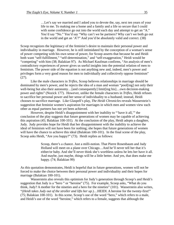…Let's say we married and I asked you to devote the, say, next ten years of your life to me. To making me a home and a family and a life so secure that I could with some confidence go out into the world each day and attempt to get an "A." You'd say "No." You'd say "Why can't we be partners? Why can't we both go out in the world and get an 'A'?" And you'd be absolutely valid and correct. (38)

Scoop recognizes the legitimacy of the feminist's desire to maintain their personal power and individuality in marriage. However, he is still intimidated by the conception of a woman's sense of power competing with his own sense of power, for Scoop asserts that because he and Heidi both want "self-fulfillment," "self-determination," and "self-exaggeration," Heidi would be "competing" with him (38; Balakian 97). As Michael Kaufman confirms, "An analysis of men's contradictory experiences of power gives us useful insights into the potential relation of men to feminism. The power side of the equation is not anything new and, indeed, men's power and privileges form a very good reason for men to individually and collectively oppose feminism" (27).

 Like the male characters in *Trifles*, Scoop believes relationships in marriage should be dominated by men's power, and he rejects the idea of a man and woman "pool[ing] not only their well-being but also their autonomy…[and consequently] limit[ing his]…own decision-making power and rights" (Nozick 177). However, unlike the female characters in *Trifles*, Heidi refuses to sacrifice her personal power and her sense of individuality to a husband; instead, Heidi chooses to sacrifice marriage. Like Glaspell's play, *The Heidi Chronicles* reveals Wasserstein's suggestion that feminist women's aspiration for marriages in which men and women view each other as equal partners has not yet been achieved.

 However, despite Heidi's disappointment with her inability to "'have it all,'" the conclusion of the play suggests that future generations of women may be capable of achieving this aspiration (45; Balakian 100-101). At the conclusion of the play, Heidi adopts a daughter, Judy. Judy provides hope for Heidi that her disappointment with the inability to achieve the ideal of feminism will not have been for nothing; she hopes that future generations of women will have the chance to achieve this ideal (Balakian 100-101). In the final scene of the play, Scoop asks Heidi, "Are you happy?" (73). Heidi replies as follows:

> Scoop, there's a chance. Just a milli-notion. That Pierre Rosenbaum and Judy Holland will meet on a plane over Chicago…And he'll never tell her that it's either/or baby. And she'll never think she's worthless unless he lets her have it all. And maybe, just maybe, things will be a little better. And yes, that does make me happy. (74; Balakian 99)

As this quotation demonstrates, Heidi is hopeful that in future generations, women will not be forced to make the choice between their personal power and individuality and their hopes for marriage (Balakian 100-101).

Wasserstein also reveals this optimism for Judy's generation through Scoop's and Heidi's suggestion that Judy is a "hero " or "heroine" (75). For example, Scoop asks, "What do you think, Judy? A mother for the nineties and a hero for the nineties" (101). Wasserstein also writes, "(*Heidi takes Judy out of the stroller and lifts her up.*)…HEIDI. A heroine for the twenty-first!" (75; Balakian 100-101). In this scene, Scoop's use of the word "hero," which refers to a male, and Heidi's use of the word "heroine," which refers to a female, suggests that although the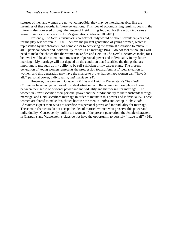statuses of men and women are not yet compatible, they may be interchangeable, like the meanings of these words, in future generations. This idea of accomplishing feminist goals in the future is also conveyed through the image of Heidi lifting Judy up, for this action indicates a sense of victory or success for Judy's generation (Balakian 100-101).

Presently, *The Heidi Chronicles'* character of Judy would be about seventeen years old, for the play was written in 1990. I believe the present generation of young women, which is represented by her character, has come closer to achieving the feminist aspiration to "'have it all,'" personal power and individuality, as well as a marriage (94). I do not feel as though I will need to make the choice that the women in *Trifles* and Heidi in *The Heidi Chronicles* make, for I believe I will be able to maintain my sense of personal power and individuality in my future marriage. My marriage will not depend on the condition that I sacrifice the things that are important to me, such as my ability to be self-sufficient or my career plans. The present generation of young women represents the progression toward feminists' ideal situation for women, and this generation may have the chance to prove that perhaps women can "'have it all,'" personal power, individuality, *and* marriage (94).

However, the women in Glaspell's *Trifles* and Heidi in Wasserstein's *The Heidi Chronicles* have not yet achieved this ideal situation, and the women in these plays choose between their sense of personal power and individuality and their desire for marriage. The women in *Trifles* sacrifice their personal power and their individuality to their husbands through marriage, and Heidi sacrifices marriage in order to maintain this power and individuality. These women are forced to make this choice because the men in *Trifles* and Scoop in *The Heidi Chronicles* expect their wives to sacrifice this personal power and individuality for marriage. These male characters do not accept the idea of married women who preserve this power and individuality. Consequently, unlike the women of the present generation, the female characters in Glaspell's and Wasserstein's plays do not have the opportunity to possibly "'have it all'" (94).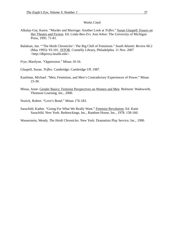#### Works Cited

- Alkalay-Gut, Karen. "Murder and Marriage: Another Look at *Trifles*." Susan Glaspell: Essays on Her Theatre and Fiction. Ed. Linda Ben-Zvi. Ann Arbor: The University of Michigan Press, 1995. 71-81.
- Balakian, Jan. "'The Heidi Chronicles': The Big Chill of Feminism." *South Atlantic Review* 60.2 (May 1995): 93-101. **JSTOR**. Connelly Library, Philadelphia. 11 Nov. 2007 <http://dbproxy.lasalle.edu>.
- Frye, Marilynn. "Oppression." Minas 10-16.
- Glaspell, Susan. *Trifles.* Cambridge: Cambridge UP, 1987.
- Kaufman, Michael. "Men, Feminism, and Men's Contradictory Experiences of Power." Minas 23-30.
- Minas, Anne. Gender Basics: Feminist Perspectives on Women and Men. Belmont: Wadsworth, Thomson Learning, Inc., 2000.

Nozick, Robert. "Love's Bond." Minas 176-183.

Sarachild, Kathie. "Going For What We Really Want." Feminist Revolution. Ed. Katie Sarachild. New York: Redstockings, Inc., Random House, Inc., 1978. 158-160.

Wasserstein, Wendy. *The Heidi Chronicles.* New York: Dramatists Play Service, Inc., 1990.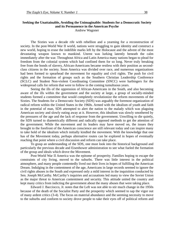# **Seeking the Unattainable, Avoiding the Unimaginable: Students for a Democratic Society and its Permanence in the American Psyche**

Andrew Wagoner

The Sixties was a decade rife with rebellion and a yearning for a reconstruction of society. In the post-World War II world, nations were struggling to gain identity and construct a new world, hoping to erase the indelible marks left by the Holocaust and the advent of the most devastating weapon known to mankind. Unrest was lurking latently beneath the calm immediately after the war. Throughout Africa and Latin America many nations began to plead for freedom from the colonial system which had confined them for so long. Never truly breaking free from the bonds of slavery, African-Americans became restless with their position as secondclass citizens in the society. Soon America was divided over race, and numerous organizations had been formed to spearhead the movement for equality and civil rights. The push for civil rights and the formation of groups such as the Southern Christian Leadership Conference (SCLC) and Student Non-violent Coordinating Committee (SNCC) were harbingers for the widespread calls for reform that were to follow in the coming tumultuous years.

 Seeing the ills of the oppression of African-Americans in the South, and also becoming aware of the ills within the government and the society at large, a group of socially-minded students formed a committee that would completely revolutionize the reform movements of the Sixties. The Students for a Democratic Society (SDS) was arguably the foremost organization of radical reform within the United States in the 1960s. Armed with the idealism of youth and faith in the potential of man, SDS attempted to alert the nation to the malady which was plaguing American society and slowly eating away at it. However, this idealism was slowly smothered by the pressures of the age and the lack of response from the government. Unwilling to die quietly, the SDS turned to diametrically different and radically opposed methods to get the attention of the government. While the movement and its leaders may have moved on, the issues they brought to the forefront of the American conscience are still relevant today and can inspire many to take hold of the idealism which initially kindled the movement. With the knowledge that one has of the Movement today, perhaps alternative routes can be explored in hopes of eventually reaching that point where a civil discussion and reform can take place.

 To grasp an understanding of the SDS, one must look into the historical background and particularly the previous decade and Eisenhower administration to see what fueled the formation of the group and ideals which drove the Movement.

 Post-World War II America was the epitome of prosperity. Families hoping to escape the constraints of city living, moved to the suburbs. There was little interest in the political atmosphere, and many people contentedly lived out their lives in hopes of fulfilling the American Dream. Indulging in the contentment of the age, Americans in large records seemed to ignore the civil rights abuses in the South and expressed only a mild interest in the inquisition conducted by Sen. Joseph McCarthy. McCarthy's inquiries and accusations led many to view the Soviet Union as the major threat to American contentment and security. This attitude united the country and kept many critics from indicting the government about the many abuses that were taking place.

 Edward J. Bacciocco, Jr. notes that the Left was not able to stir much change in the 1950s because of the death of the Socialist Party and the prosperity which seemed to sap the vigor out of many ardent critics (3-4). The focus on material abundance and the seeming necessity to move to the suburbs and conform to society drove people to take their eyes off of political reform and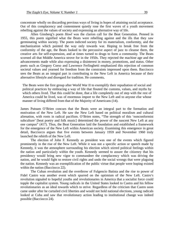concentrate wholly on discarding previous ways of living in hopes of attaining social acceptance. Out of this complacency and contentment quietly rose the first waves of a youth movement rebelling against the values of society and expressing an alternative way of life.

 Allen Ginsberg's poem *Howl* was the clarion call for the Beat Generation. Penned in 1955, this poem signified what the Beats were rebelling against and the ills that they saw germinating within society. The poem indicted society for its materialism, conformity, and the mechanization which pointed the way only towards war. Hoping to break free from the conformity of the age, the Beats looked to the percussive aspect of jazz to cleanse them, the creative arts for self-expression, and at times turned to drugs to form a community. The Beats scorned all that Middle America strove for in the 1950s. They rejected the machine age and the advancements made while also expressing a disinterest in money, promotions, and status. Other poets such as Gregory Corso and Lawrence Ferlinghetti emphasized this rejection of common societal values and yearned for freedom from the constraints impressed upon them. Bacciocco sees the Beats as an integral part in contributing to the New Left in America because of their alternative lifestyle and disregard for tradition. He comments,

The Beats were the first group after World War II to exemplify their repudiation of social and political practices by embracing a way of life that flouted the customs, values, and myths by which others lived. That this could be done, that a life completely out of step with the rest of America could be lived, was of enormous import to the New Left and to anyone else whose manner of living differed from that of the Majority of Americans (14).

James Putnam O'Brien concurs that the Beats were an integral part to the formation and motivation of the New Left. He saw the New Left based on political moralism and cultural alienation, with roots in radical pacifism. O'Brien notes, "The strength of this 'nonconformist subculture' [beat poetry and folk music] determined the power of the nascent New Left at any one campus" (417). Thus, the Beat Generation laid the foundation and established a framework for the emergence of the New Left within American society. Examining this emergence in great detail, Bacciocco argues that five events between January 1959 and November 1960 truly launched the rebirth of the New Left.

 The election of John F. Kennedy as president was one of the events which figured prominently in the rise of the New Left. While it was not a specific action or speech made by Kennedy, it was the atmosphere surrounding his election which stirred political feelings within the nation and particularly within the youth. Kennedy seemed to assure the citizenry that his presidency would bring new vigor to commandeer the complacency which was driving the nation, and he would fight to restore civil rights and undo the social wrongs that were plaguing the nation. Kennedy was an exemplification of the public virtue that people were hoping existed within the nation (Bacciocco 22).

 The Cuban revolution and the overthrow of Fulgencio Batista and the rise to power of Fidel Castro was another event which spurred on the optimism of the New Left. Castro's revolution signaled to hopeful youths and revolutionaries in America that a socialist force could topple the capitalist system. Young radicals in the United States looked to Castro and his fellow revolutionaries as an ideal towards which to strive. Regardless of the criticism that Castro soon came under after he curtailed civil liberties and would not hold national elections, young radicals looked at Cuba and saw that revolutionary action leading to institutional change was indeed possible (Bacciocco 24).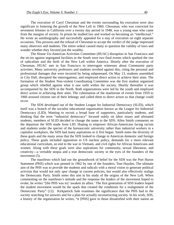The execution of Caryl Chessman and the events surrounding his execution were also significant in fostering the growth of the New Left in 1960. Chessman, who was convicted for seventeen felonies in California over a twenty day period in 1948, was a young man who came from the margins of society. In prison he studied law and worked on becoming an "intellectual." He wrote an autobiography and successfully appealed for a stay of execution on eight separate occasions. This prowess and the refusal of Chessman to accept the verdict of the judge impressed many observers and students. The entire ordeal caused many to question the validity of laws and wonder whether they favored just the wealthy.

 The House Un-American Activities Committee (HUAC) disruption in San Francisco and the sit-ins against segregated facilities in the South were two final events which sparked the rise of radicalism and the birth of the New Left within America. Shortly after the execution of Chessman, HUAC met in San Francisco to interrogate witnesses about Communist party activities. Many university professors and students revolted against this, citing the personal and professional damages that were incurred by being subpoenaed. On May 13, students assembled in City Hall, disrupted the interrogations, and employed direct action to achieve their aims. The formation of the Student Non-violent Coordinating Committee was the first student organized group which rebelled against what it saw unfit within the society. Shortly thereafter it was accompanied by the SDS in the North. Both organizations were led by the youth and employed direct action in achieving their aims. The culmination of the maelstrom of events from 1959 to 1960 aroused citizens out of their lethargy and called them to direct action so that change could occur.

 The SDS developed out of the Student League for Industrial Democracy (SLID), which itself was a branch of the socialist educational organization known as the League for Industrial Democracy (LID). Wanting to recruit a broad base of supporters, particularly students, and thinking that the term "industrial democracy" focused solely on labor issues and alienated students, members of SLID decided to change the name to the SDS. Allen Smith comments on the departure the SDS made from LID. Hoping to empower African-Americans facing racism and students under the specter of the bureaucratic university rather than industrial workers in a capitalist workplace, the SDS had many aspirations as it first began. Smith notes the diversity of these goals and the many areas that the SDS looked to change in American domestic and foreign policy. These goals included opposition to US nuclear policy, demands for a more relevant educational curriculum, an end to the war in Vietnam, and civil rights for African Americans and women. Along with these goals were also aspirations for community, sexual liberation, and creativity—a veritable utopia and a true democratic society in the eyes of the founders of the movement  $(5)$ .

 The manifesto which laid out the groundwork of belief for the SDS was the Port Huron Statement (PHS) which was penned in 1962 by one of the founders, Tom Hayden. The ultimate aim of the PHS was to provide the students and radicals with a moral vision to generate political activism that would not only spur change in current policies, but would also effectively realign the Democratic Party. Smith notes this aim in his study of the origins of the New Left. When commenting on the manifesto's attitude and the response the leaders of the movement hoped to evoke, he writes "[the PHS was to] 'awaken its allies.' The first generation of SDS leaders hoped the student movement would be the spark that created the conditions for a realignment of the Democratic Party" (12). Kirkpatrick Sale examines the significance that the PHS had to the society searching for answers and for a plan for actually reconstructing society. In his work, *SDS*, a history of the organization he writes, "it [PHS] gave to those dissatisfied with their nation an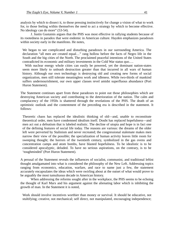analysis by which to dissect it, to those pressing instinctively for change a vision of what to work for, to those feeling within themselves the need to act a strategy by which to become effective. No ideology can do more" (53-54).

 J. Justin Gustainis argues that the PHS was most effective in rallying students because of its rootedness in paradox that were endemic in American culture. Hayden emphasizes paradoxes within society early in the manifesto. He notes,

We began to see complicated and disturbing paradoxes in our surrounding America. The declaration "all men are created equal…" rang hollow before the facts of Negro life in the South and the big cities of the North. The proclaimed peaceful intentions of the United States contradicted its economic and military investments in the Cold War status quo….

 With nuclear energy whole cities can easily be powered, yet the dominant nation-states seem more likely to unleash destruction greater than that incurred in all wars of human history. Although our own technology is destroying old and creating new forms of social organization, men still tolerate meaningless work and idleness. While two-thirds of mankind suffers undernourishment, our own upper classes revel amidst superfluous abundance (Port Huron Statement).

The Statement continues apart from these paradoxes to point out those philosophies which are destroying American society and contributing to the deterioration of the nation. The calm and complacency of the 1950s is shattered through the revelations of the PHS. The death of an optimistic outlook and the contentment of the preceding era is described in the statement. It follows:

Theoretic chaos has replaced the idealistic thinking of old—and, unable to reconstitute theoretical order, men have condemned idealism itself. Doubt has replaced hopefulness—and men act out a defeatism that is labeled realistic. The decline of utopia and hope is in fact one of the defining features of social life today. The reasons are various: the dreams of the older left were perverted by Stalinism and never recreated; the congressional stalemate makes men narrow their view of the possible; the specialization of human activity leaves little room for sweeping thought; the horrors of the twentieth century, symbolized in the gas ovens and concentration camps and atom bombs, have blasted hopefulness. To be idealistic is to be considered apocalyptic, deluded. To have no serious aspirations, on the contrary, is to be 'toughminded' (Port Huron Statement).

A perusal of the Statement reveals the influences of socialist, communist, and traditional leftist thought amalgamated into what is considered the philosophy of the New Left. Addressing topics ranging from economics, education, warfare, and race to name just a few, the statement accurately encapsulates the ideas which were swirling about at the outset of what would prove to be arguably the most tumultuous decade in American history.

 When addressing the reforms sought after in the workplace, the PHS seems to be echoing the thought of Karl Marx and his argument against the alienating labor which is inhibiting the growth of man. In the Statement it is noted,

Work should involve incentives worthier than money or survival. It should be educative, not stultifying; creative, not mechanical; self direct, not manipulated, encouraging independence;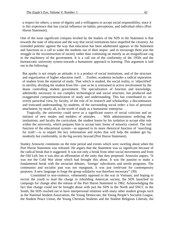a respect for others; a sense of dignity and a willingness to accept social responsibility, since it is this experience that has crucial influence on habits, perceptions, and individual ethics (Port Huron Statement).

One of the most significant critiques leveled by the leaders of the SDS in the Statement is that towards the state of education and the way that social institutions have stupefied the citizenry. An extended polemic against the way that education has been adulterated appears in the Statement and functions as a call to wake the students out of their stupor and to encourage them join the struggle in the reconstruction of society rather than continuing on merely as an insignificant cog in the machinery of the government. It is a call out of the conformity of the 1950s and the bureaucratic university system towards a humanistic approach to learning. This argument is laid out in the following:

But apathy is not simply an attitude; it is a product of social institutions, and of the structure and organization of higher education itself. . . Further, academia includes a radical separation of student from the material of study. That which is studied, the social reality, is 'objectified' to sterility, dividing the student from life—just as he is restrained in active involvement by the deans controlling student government. The specialization of function and knowledge, admittedly necessary to our complex technological and social structure, has produced and exaggerated compartmentalization of study and understanding. This has contributed to: an overly parochial view, by faculty, of the role of its research and scholarship; a discontinuous and truncated understanding, by students, of the surrounding social order; a loss of personal attachment, by nearly all, to the worth of study as a humanistic enterprise. . .

 Tragically, the university could serve as a significant source of social criticism and an initiator of new modes and molders of attitudes. . . With administrators ordering the institutions, and faculty the curriculum, the student learns by his isolation to accept elite rule within the university, which prepares him to accept later forms of minority control. The real function of the educational system—as opposed to its more rhetorical function of 'searching for truth'—is to impart the key information and styles that will help the student get by, modestly but comfortably, in the big society beyond (Port Huron Statement).

Stanley Arnowitz comments on the time period and events which were swirling about when the Port Huron Statement was released. He argues that the Statement was so significant because of the radical break that it suggested. It was not only a break from other social movements and from the Old Left, but it was also an affirmation of the unity that they proposed. Arnowitz argues, "It was not the Cold War alone which had brought this about. It was the passion to make a fundamental break with the sectarian debates, 'foreign' subcultures and sterile programs. The communist and socialist past was not repugnant, it was just irrelevant for contemporary purposes. A new language to forge the group solidarity was therefore necessary" (30).

 Committed to non-violence, vehemently opposed to the war in Vietnam, and hoping to recruit the youth to lead the charge in rebuilding American society, the SDS launched its campaign for change after the release of the Port Huron Statement in 1962. Acknowledging the fact that change could not be brought about with just the SDS in the North and SNCC in the South, the SDS reached out to have interpersonal relations with many other student groups such as the National Student Association, the Young Democrats, the Young People's Socialist League, the Student Peace Union, the Young Christian Students and the Student Religious Liberals, the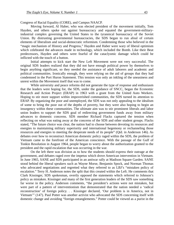#### Congress of Racial Equality (CORE), and Campus NAACP.

 Moving forward, Al Haber, who was elected president of the movement initially, Tom Hayden, and others spoke out against bureaucracy and equated the government-militaryindustrial complex governing the United States to the tyrannical bureaucracy of the Soviet Union. By distrusting governmental bureaucracies, the SDS began to run afoul of certain elements of liberalism and social-democratic reformism. Condemning those who believed in the "magic mechanism of History and Progress," Hayden and Haber were wary of liberal optimism which celebrated the advances made in technology, which included the Bomb. Like their Beat predecessors, Hayden and others were fearful of the cataclysmic damage which could be inflicted with the touch of a button.

 Initial attempts to kick start the New Left Movement were not very successful. The original SDS leaders realized that they did not have enough political power by themselves to begin anything significant, so they needed the assistance of adult laborers and academic and political communities. Ironically enough, they were relying on the aid of groups that they had condemned in the Port Huron Statement. This tension was only an inkling of the uneasiness and unrest within the Movement itself that was to come.

 While university and peace reforms did not generate the type of response and enthusiasm that the leaders were hoping for, the SDS, under the guidance of SNCC, began the Economic Research and Action Project (ERAP) in 1963 with a grant from the United Auto Workers. Hoping to stir more support within impoverished communities, the SDS turned its attention to ERAP. By organizing the poor and unemployed, the SDS was not only appealing to the idealism of some to bring the poor out of the depths of poverty, but they were also hoping to begin an insurgency within these communities. The ultimate aim was to stir prominent liberals and labor union leaders to support the SDS goal of redirecting government funds away from military advances to domestic concerns. SDS member Richard Flacks captured the tension when reflecting on what was eating away at the concerns of the SDS and other student groups. Flacks stated, "The future choice was clear, the nation had to choose between devoting its resources and energies to maintaining military superiority and international hegemony or rechanneling those resources and energies to meeting the desperate needs of its people" (Qtd. in Anderson 146). As debates over how to reconstruct American domestic policy raged within the SDS, the problem of Vietnam came to the forefront of the American conscience. With the passage of the Gulf of Tonkin Resolution in August 1964, people began to worry about the authorization granted to the president and the rapid escalation that was occurring in the war.

 On the left there was division as to how the students should express their outrage at the government, and debates raged over the impetus which drove American intervention in Vietnam. In June 1965, SANE and SDS participated in an antiwar rally at Madison Square Garden. SANE stood behind the liberal speakers such as Wayne Morse, Benjamin Spock, and Norman Thomas who advocated negotiations and regretted what they referred to as LBJ's "mistaken policy of escalation." Terry H. Anderson notes the split that this created within the Left. He comments that Clark Kissinger, SDS spokesman, overtly opposed the statements which referred to Johnson's policy as mistaken. Kissinger and many of the first generation leaders of the SDS saw something far worse in the policy. Anderson comments, "the president's actions were not mistaken, but were part of a pattern of interventionism that demonstrated that the nation needed a 'radical reconstruction' of foreign policy. . . Kissinger declared, 'Our problem is in America, not in Vietnam'" (147). Paul Potter was another activist who advocated the SDS concerning itself with domestic change and avoiding "foreign entanglements." Potter could be viewed as a purist in the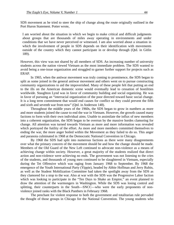SDS movement as he tried to steer the ship of change along the route originally outlined in the Port Huron Statement. Potter wrote,

I am worried about the situation in which we begin to make critical and difficult judgments about groups that are thousands of miles away operating in environments and under conditions that we have never perceived or witnessed. I am also worried about a situation in which the involvement of people in SDS depends on their identification with movements outside of the country which they cannot participate in or develop through (Qtd. in Gitlin 189).

However, this view was not shared by all members of SDS. An increasing number of university students across the nation viewed Vietnam as the most immediate problem. The SDS wanted to avoid being a one-issue organization and struggled to garner further support for projects such as ERAP.

 In 1965, when the antiwar movement was truly coming to prominence, the SDS began to split as some joined in the general antiwar movement and others went on to pursue constructing community organizations to aid the impoverished. Many of these people felt that putting an end to the ills on the American domestic scene would eventually lead to cessation of hostilities worldwide. Staughton Lynd was in favor of community building and social organizing. He was in favor of pursuing an "interracial organization of the poor directed toward basic social change. It is a long term commitment that would end causes for conflict so they could prevent the fifth and sixth and seventh war from now" (Qtd. in Anderson 148).

 Throughout the middle years of the 1960s, the SDS began to grow in numbers as more and more students joined the cause to end the war in Vietnam. However, the growth caused many factions to form with their own individual aims. Unable to assimilate the influx of new members into a coherent organization, the SDS began to be overrun by the massive hordes clamoring for change. All attention was turned towards Vietnam as more and more information was revealed which portrayed the futility of the effort. As more and more members committed themselves to ending the war, the more anger boiled within the Movement as they failed to do so. This anger and paranoia culminated in 1968 at the Democratic National Convention in Chicago.

 By 1968 the SDS had split into numerous factions as there were many disagreements over what the primary concern of the movement should be and how the change should be made. Members of the Old Guard of the New Left continued to advocate non-violence as a means of achieving change within society. However, a great majority of the students realized that direct action and non-violence were achieving no ends. The government was not listening to the cries of the students, and thousands of young men continued to be slaughtered in Vietnam, especially during the Tet Offensive which was raging from January 1968 to September. By 1968 the emergence of the Youth International Party (Yippie), headed by Abbie Hoffman and Jerry Rubin, as well as the Student Mobilization Committee had taken the spotlight away from the SDS as they clamored for a stop to the war. Also at war with the SDS was the Progressive Labor faction which was looking to participate in the "Ten Days to Shake an Empire," an event planned to draw the attention of the warmongers in Washington. While the SDS was losing control and splitting, their counterparts in the South—SNCC—who were the early proponents of nonviolence joined ranks with the Black Panthers in February 1968.

 The penchant for violent response to both the government and totalitarian rule pervaded the thought of those groups in Chicago for the National Convention. The young students who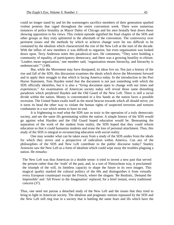could no longer stand by and let the warmongers sacrifice members of their generation sparked violent protests that raged throughout the entire convention week. There were numerous instances of police brutality as Mayor Daley of Chicago and his men brutally beat down those showing opposition to his views. This violent episode signified the final chapter of the SDS and other groups as they truly splintered in the aftermath of the convention. The controversy over pertinent issues and the methods by which to achieve change were far too difficult to be contained by the idealism which characterized the rise of the New Left at the start of the decade. With the influx of new members it was difficult to organize, but even organization was looked down upon. Terry Anderson notes this paradoxical turn. He comments, "They were building a community of equality, of participatory democracy, and there was a growing hostility to elitism. 'Leaders mean organization,' one member said, 'organization means hierarchy, and hierarchy is undemocratic'" (148).

 But, while the Movement may have dissipated, its ideas live on. Not just a history of the rise and fall of the SDS, this discussion examines the ideals which drove the Movement forward and to apply their struggle to that which is facing America today. In the introduction to the Port Huron Statement, Tom Hayden noted that the document is not just something with which the SDS officially identifies, but it is also a "*living* document open to change with our times and experiences." An examination of American society today will reveal those same disturbing paradoxes which perplexed Hayden and the Old Guard of the New Left. There is still a racial divide within the nation. Money is concentrated in a few hands as the nation faces a possible recession. The United States exalts itself as the moral beacon towards which all should strive, yet it turns its head the other way to violate the human rights of suspected terrorists and tortures combatants in a war which seems to have no end.

 It is frightening to read what the SDS saw as toxic to the operation of a truly democratic society, and see the same ills germinating within the nation. A simple history of the SDS would go against what Hayden and the Old Guard hoped education would be. Bemoaning the separation of the work of the student from reality, the SDS hoped that they could reform education so that it could humanize students and erase the loss of personal attachment. Thus, this study of the SDS is integral to reconnecting education with social reality.

 One may wonder what can be taken away from a study of the SDS asides from the ideals for which they strove and a perspective of radicalism within America. Can any of the philosophies of the SDS and New Left contribute to the public discourse today? Stanley Arnowitz saw the New Left as a form of idealism which could wipe away the troubles plaguing a nation. He remarks:

The New Left was thus American in a double sense: it tried to invent a new past that served the present rather than the 'truth' of the past, and, in a sort of Nietzschean way, it proclaimed the triumph of the will, its limitless capacity to shape the future in its own images. This magical quality marked the cultural politics of the 60s and distinguishes it from virtually every European counterpart except the French, where the slogans 'Be Realistic, Demand the Impossible' and 'All Power to the Imagination' replaced, for a brief instant, every traditional concern (37).

Thus, one need not pursue a detached study of the New Left and the issues that they tried to bring to light in American society. The idealism and pragmatic notions espoused by the SDS and the New Left still ring true in a society that is battling the same fears and ills which have the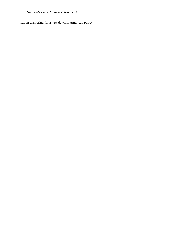nation clamoring for a new dawn in American policy.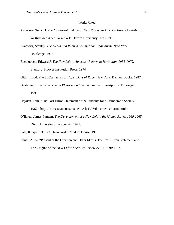#### Works Cited

- Anderson, Terry H. *The Movement and the Sixties: Protest in America From Greensboro To Wounded Knee*. New York: Oxford University Press, 1995.
- Arnowitz, Stanley. *The Death and Rebirth of American Radicalism*. New York: Routledge, 1996.
- Baccioocco, Edward J. *The New Left in America*: *Reform to Revolution 1956-1970*. Stanford: Hoover Institution Press, 1974.

Gitlin, Todd. *The Sixties: Years of Hope, Days of Rage*. New York: Bantam Books, 1987.

- Gustainis, J. Justin. *American Rhetoric and the Vietnam War*. Westport, CT: Praeger, 1993.
- Hayden, Tom. "The Port Huron Statement of the Students for a Democratic Society." 1962 <http://coursesa.matrix.msu.edu/~hst306/documents/huron.html>.
- O'Brien, James Putnam. *The Development of a New Left in the United States, 1960-1965*. Diss. University of Wisconsin, 1971.

Sale, Kirkpatrick. *SDS*. New York: Random House, 1973.

Smith, Allen. "Present at the Creation and Other Myths: The Port Huron Statement and The Origins of the New Left." *Socialist Review* 27.1 (1999): 1-27.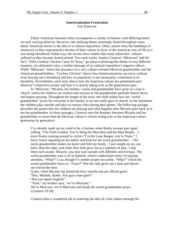#### **Americanization Frustration**  Eric Donovan

Ethnic American literature often encompasses a variety of themes, each differing based on each varying ethnicity. However, one unifying theme seemingly found throughout many ethnic American stories is the idea of a cultural imposition. Often, stories relay the hardships of characters as they experienced a decline of their culture in favor of the American way of life as it was being introduced. Either way, the stories show readers that many ethnicities' cultures suffered as they became Americanized. Two such works, Sandra Cisneros' "Mericans" and Ha Jin's "After Cowboy Chicken Came To Town," go about explaining this theme in very different manners, yet ultimately relay a similar message of on cultural imposition's negative effects. While "Mericans" shows the dynamics of a very culture-oriented Mexican grandmother and her American grandchildren, "Cowboy Chicken" shows how Americanization can occur without even leaving one's homeland and how its popularity is not necessarily a testament to its durability. Nevertheless, each story shows how the American culture has penetrated each ethnicity's respective society and how it is slowly taking over as the generations pass.

 In "Mericans," Micaela, her brother, cousin and grandmother have gone on a trip to church, where the children are restless and anxious as the grandmother patiently kneels down and begins praying. Throughout the length of the story, the child relates how her "awful grandmother" prays for everyone in her family, as no one really goes to church. In the meantime, the children play outside and take on various roles during their games. The following passage describes the games that the children are playing and what happens after Micaela goes back in to see her grandmother. In these passages, Cisneros uses the dynamic between Micaela and her grandmother to assert that the Mexican culture is slowly losing way to the American culture, generation by generation:

I've already made up my mind to be a German when Keeks swoops past again yelling, "I'm Flash Gordon. You're Ming the Merciless and the Mud People…I leave Keeks running around in circles-"I'm the Lone Ranger, you're Tonto." I leave Junior squatting on his ankles and look for the awful grandmother….The awful grandmother makes me kneel and fold my hands…I put weight on my one knee, then the other, and when they both grow fat as a mattress of pins, I slap them each awake. *Micaela, you may wait outside with Alfredito and Enrique.* The awful grandmother says it all in Spanish, which I understand when I'm paying attention. "What?" I say, though it's neither proper nor polite. "What?" which the awful grandmother hears as "*?Guat?*" But she only gives me a look and shoves me toward the door.

[Later, when Micaela has joined the boys outside and are offered gum] "Hey, Michele, Keeks. You guys want gum?"

"But you speak English!"

"Yeah," my brother says, "we're Mericans."

We're Mericans, we're Mericans and inside the awful grandmother prays. (Cisneros 19-20)

Cisneros does a wonderful job of asserting the idea of a lost culture through the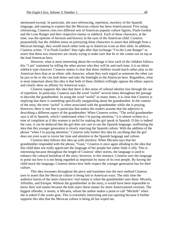mentioned excerpt. In particular, she uses referencing, repetition, mockery of the Spanish language, and naming to explain that the Mexican culture has been Americanized. First using referencing, Cisneros cites two different sets of American popular culture figures, Flash Gordon and the Lone Ranger and their respective enemy or sidekick. Each of these characters, at the time, was the epitome of heroism and bravery in the eyes of the American child. Cisneros purposefully has the children insist on portraying these characters to assert that although from a Mexican heritage, they would much rather look up to American icons as their idols. In addition, Cisneros writes, "I'm Flash Gordon" then right after that exchange "I'm the Lone Ranger" to assert that these two characters are clearly trying to make sure that he or she comes out on top as the lead American hero.

However, what is most interesting about the exchange is how each of the children follows this "I am" statement by telling the other person who they will be and each time, it is an ethnic sidekick type character. Cisneros makes it clear that these children would much rather play as the American hero than as an ethnic side character, whom they each regard as someone the other can be just so he or she can look better and take the limelight as the American hero. Regardless, what is most important about this idea is that both of these children willingly oppose the ethnic aspects and clearly show an affinity for American ways.

Cisneros supports this idea that there is this sense of cultural identity loss through the use of repetition. In particular, Cisneros uses the word "awful" several times throughout the passage to describe the grandmother. In using the word "awful" so many times, it is clear that Cisneros is implying that there is something specifically unappealing about the grandmother. In the context of the story, the term "awful" is often associated with the grandmother while she is praying. However, there is one line in particular that makes the readers assume that the adjective is describing a different aspect of the grandmother. When Cisneros writes, "The awful grandmother says it all in Spanish, which I understand when I'm paying attention," it is almost written in a tone of complaint as if this woman is awful for making the girl speak in Spanish. If this is indeed the case, it can be deduced that the girl does not care to use the Spanish language, reaffirming the idea that this younger generation is slowly rejecting the Spanish culture. With the addition of the phrase "when I'm paying attention," Cisneros only bolster this idea by ascribing that the girl does not even want to invest her time and attention to the Spanish language and culture.

 Cisneros then follows this idea up with mockery. When Micaela says that her grandmother responded with the phrase, "Guat," Cisneros is once again alluding to the idea that this child does not really appreciate the language of her people but rather finds it silly. This is interesting because throughout the length of Cisneros' other stories, the language is used to enhance the cultural backdrop of the story; however, in this instance, Cisneros uses the language to point out how it is not being regarded as important by many of its own people. By having the child mock the language, Cisneros shows how little respect the younger generation has for their culture.

 This idea resonates throughout the piece and translates into the next method Cisneros uses to assert that the Mexican culture is being lost to American ways. The only time the audience learns of the main characters' *real* names is when the grandmother uses them: Micaela, Alfredito, and Enrique. Without the grandmother in the story, it would have been impossible to know their real names because the kids reject these names for more Americanized versions. The biggest offender, it seems, is Micaela, whom the author makes a point to call "Michele" when she is asked if she wants gum. This is extremely interesting and eye-opening because it further supports this idea that the Mexican culture is being all but wiped out.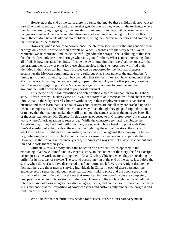However, at the end of the story, there is a sense that maybe these children do not want to lose all of their identity, or at least the part that gets them what they want. In the exchange where the children are trying to get gum, they are almost hindered from getting it because the woman recognizes them as Americans, and therefore does not want to give them gum. Up until this point, the children have clearly had no problem rejecting their Mexican identities and embracing the American inside of them.

However, when it comes to convenience, the children seem to blur the lines and use their heritage only when it works to their advantage. When Cisneros ends the story with, "We're Mericans, we're Mericans, and inside the awful grandmother prays," she is alluding to this idea that the children only use their heritage when it is good for them. What is most interesting about all of this is how she adds the phrase, "inside the awful grandmother prays" almost to assert that the grandmother is now praying for these children also, in the she hopes they will find their identities in their Mexican heritage. This idea can be supported by the fact that Cisneros establishes the Mexican community as a very religious one. Since none of the grandmother's family go to church anymore, it can be concluded that she feels they, too, have abandoned their Mexican roots. In having the reader's last glimpse of the awful grandmother praying, it seems that Cisneros is suggesting that the Mexican heritage will continue to crumble and the grandmother will always be needed to pray for its survival.

 This theme of cultural imposition and deterioration also runs rampant in Ha Jin's short story, "After Cowboy Chicken Came To Town," the story of an American fast-food chain moving into China. In the story, several Chinese workers begin their employment for this American business and soon learn that its capitalist ways and customs are not all they are cracked up to be when in comparison to the traditional Chinese way. Even though they get paid triple the amount of money that their parents make, they still do not get the same shares as the manager Peter Jiao or the American owner, Mr. Shapiro. In this case, as opposed to in Cisneros' story, Jin creates a world where Americanization is seen as bad. While the characters try hard to embrace the American ways, they find fault with it in many areas, which hits a breaking point with Peter Jiao's discarding of extra foods at the end of the night. By the end of the story, they try to do what they believe is right and American-like, and so they strike against the company for better pay, believing that Cowboy Chicken will come to its American senses and compensate them. However, as the workers unfortunately learn, the American ways are not always so clear cut and fair and it costs them their jobs.

 Ultimately, this is a story about the rejection of a new culture, as opposed to the embracing of a new culture found in Cisneros' story. In the context of the story, the first excerpt occurs just as the workers are starting their jobs at Cowboy Chicken, when they are readying the buffet for its first day of service. The second occurs later on at the end of the story, just before the strike, when the workers have discovered that Peter burns the leftovers every night despite the fact that there are thousands of starving individuals in China. In each of these passages, the audience gets a sense that although Americanization is taking place and the people are trying hard to conform to it, they ultimately see that American traditions and values are completely unappealing when in juxtaposition with their own Chinese culture. Through the use of cultural references, monotonous imagery, negative imagery, listing, and comparison, Jin is able to convey to his audience that the imposition of American ideas and customs only hinders the progress and tradition of Chinese culture.

We all knew that the buffet was headed for disaster, but we didn't care very much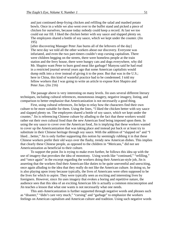and just continued deep-frying chicken and refilling the salad and mashed potato bowls. Once in a while we also went over to the buffet stand and picked a piece of chicken for ourselves, because today nobody could keep a record. At last we too could eat our fill. I liked the chicken better with soy sauce and slapped plenty on. The employees shared a bottle of soy sauce, which we kept under the counter. (Jin 195)

[after discovering Manager Peter Jiao burns all of the leftovers of the day] The next day we told all the other workers about our discovery. Everyone was infuriated, and even the two part-timers couldn't stop cursing capitalism. There were children begging on the streets, there were homeless people at the train station and the ferry house, there were hungry cats and dogs everywhere, why did Mr. Shapiro want Peter to burn good meat like garbage? Manyou said he had read in a restricted journal several years ago that some American capitalists would dump milk into a river instead of giving it to the poor. But that was in the U.S.; here in China, this kind of wasteful practice had to be condemned. I told my fellow workers that I was going to write an article to expose Ken Shapiro and Peter Jiao. (Jin 216)

 The passage above is very interesting on many levels. Jin uses several different literary techniques, including cultural references, monotonous imagery, negative imagery, listing, and comparison to better emphasize that Americanization is not necessarily a good thing.

First, using cultural references, Jin helps to relay how the characters find their own culture to be more suitable for them. Using the lines, "I liked the chicken better with soy sauce and slapped plenty on. The employees shared a bottle of soy sauce, which we kept under the counter," Jin is referencing Chinese culture by alluding to the fact that these workers would rather eat their own cultural food than the new American food being imposed upon them. In using the soy sauce to cover over the American food, Jin is implying that these workers wanted to cover up the Americanization that was taking place and instead put back or at least try to substitute in their Chinese heritage through soy sauce. With the addition of "slapped on" and "I liked…better," Jin is only further supporting this notion by seemingly rubbing it in that these Chinese workers prefer their old ways over the flashy, trendy new American dishes. This implies that clearly these Chinese people, as opposed to the children in "Mericans," did not see Americanization as beneficial to their culture.

 To support the point Jin is trying to make even further, he follows this idea up with the use of imagery that provokes the idea of monotony. Using words like "continued," "refilling," and "once again" in the excerpt regarding the workers doing their American-style job, Jin is asserting that the workers find their American-like duties to be quite uneventful and unexciting, once again alluding to the idea that they really do not like the American culture. In doing so, he is also playing upon irony because typically, the lives of Americans were often supposed to be the lives for which to aspire. They were typically seen as exciting and interesting lives by foreigners. However, since Jin uses imagery that evokes a boring and repetitive nature, the audience sees that this idea of an exciting American life is actually a common misconception and Jin teaches a lesson that what one wants is not necessarily what one needs.

This anti-Americanization is further supported through negative words and phrases such as "disaster," "didn't care very much," "cursing" and "garbage" to emphasize the workers feelings on American capitalism and American culture and tradition. Using such negative words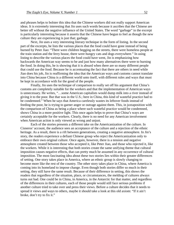and phrases helps to bolster this idea that the Chinese workers did not really support American ideas. It is extremely interesting that Jin uses such words because it ascribes that the Chinese are better off without the negative influence of the United States. The word "garbage" in the excerpt is particularly interesting because it asserts that the Chinese have begun to feel as though the new culture they are experiencing is just that; garbage.

 Next, Jin uses a very interesting literary technique in the form of listing. In the second part of the excerpts, he lists the various places that the food could have gone instead of being burned by Peter Jiao: "There were children begging on the streets, there were homeless people at the train station and the ferry house, there were hungry cats and dogs everywhere." In using listing to describe the various places the food could have went, Jin is emphasizing how backwards the American way seems to be and just how many alternatives there were to burning the food. In doing this, he is showing that it is absurd when there are so many different people that could use the food. Because he is accentuating the fact that there are others in need while Jiao does his job, Jin is reaffirming the idea that the American ways and customs cannot translate into China because China is a different world unto itself, with different rules and ways that must be kept in accordance with for the good of the people.

 Finally, Jin uses the technique of comparison to really set off his argument that China's customs are completely suitable for the workers and that the implementation of American ways is unnecessary. He writes, "…some American capitalists would dump milk into a river instead of giving it to the poor. But that was in the U.S.; here in China, this kind of wasteful practice had to be condemned." When he says that America carelessly wastes its leftover foods instead of feeding the poor, he is trying to garner anger or outrage against them. This, in juxtaposition with the comparison of China as being a place where such wasteful practice would be condemned, shows China in a more positive light. This once again helps to prove that China's ways are certainly acceptable for the workers. Clearly, there is no need for any American involvement when American action is only viewed as wrong and unjust.

 Each of the stories presents a different take on the Americanization of the culture. In Cisneros' account, the audience sees an acceptance of the culture and a rejection of the ethnic heritage. As a result, there is a rift between generations, creating a negative atmosphere. In Jin's story, the readers experience a defiant Chinese group who reject the Americanization only to embrace their own original culture. Once again, however, there is a tension and negative atmosphere created between those who accepted it, like Peter Jiao, and those who rejected it, like the workers. While it is interesting that both stories create the same unifying theme that cultural imposition causes negative effects, that can pretty much be assumed in any occurrence of cultural imposition. The most fascinating idea about these two stories lies within their greater differences of setting. One story takes place in America, where an ethnic group is slowly changing to become more like the rest of the country. The other story takes place in China, where America is coming into its homeland to impose change. Even though both stories differ so much in their setting, they still have the same result. Because of their difference in setting, this shows the readers that regardless of the situation, place, or circumstances, the melding of cultures always turns out bad. One could be in China, in America, in the Antarctic for that matter, and regardless of the differences in their cultures, each of those people would still face serious problems if another culture tried to take over and press their views. Before a culture decides that it needs to spread it views and ways to others, maybe it should take a look at this old axiom: "If it ain't broke, don't try to fix it."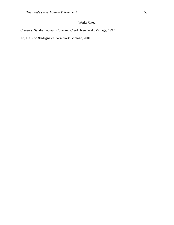# Works Cited

Cisneros, Sandra. *Woman Hollering Creek*. New York: Vintage, 1992.

Jin, Ha. *The Bridegroom*. New York: Vintage, 2001.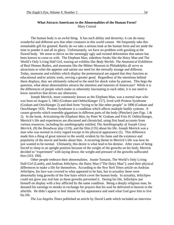#### **What Attracts Americans to the Abnormalities of the Human Form?**  Mary Conrad

The human body is an awful thing. It has such ability and dexterity; it can do many wonderful and different acts that other creatures in this world cannot. We frequently take this remarkable gift for granted. Rarely do we take a serious look at the human form and set aside the time to ponder it and all its glory. Unfortunately, we have no problem with gawking at the flawed body. We seem to thrive on the seemingly ugly and twisted deformities that nature has been known to curse us with. The Elephant Man, sideshow freaks like the Hairy Man and The World's Only Living Half Girl, touring art exhibits like *Body Worlds: The Anatomical Exhibition of Real Human Bodies*, and museums like the Mütter Museum in Philadelphia all serve as attractions to whet the appetite and satiate our need for the eternally strange and different. Today, museums and exhibits which display the preternatural are argued that they function as educational and/or artistic tools, serving a greater good. Regardless of the intentions behind these displays, they are ultimately reduced to the need for shock value by patrons. This begs the question, what about abnormalities attracts the attention and interests of Americans?While it is the differences of people which make us inherently fascinating to each other, it is our need to know ourselves that drives our obsession.

Joseph Merrick, more commonly known as the Elephant Man, was a normal man who was born on August 5, 1862 (Graham and Oehlschlaeger 157), lived with Proteus Syndrome (Graham and Oeschlaeger 2) and died from "trying to be like other people" in 1890 (Graham and Oeschlaeger 163). Proteus Syndrome is a condition which affects multiple bodily systems. It causes growths which resemble gigantism in different parts of the body (Pletcher) (see Figs. 1 & 2). In the book, *Articulating the Elephant Man*, by Peter W. Graham and Fritz H. Oehlschlaeger, Merrick's life and experiences are discussed and chronicled, using first hand accounts from various resources, including his autobiography entitled, *The Autobiography of Joseph Carey Merrick,* (9) the Broadway play (119), and the film (135) about his life. Joseph Merrick was a man who was normal in every regard except in his physical appearance (5). This difference made him a thing of great interest to the world, evident by his fame and the existence and popularity of the movie and books about him. A recurring theme in Merrick's life was how he just wanted to be normal. Ultimately, this desire is what lead to his demise. After years of being forced to sleep in an upright position because of the weight of the growths on his body, Merrick decided to "experiment" with laying down; the weight and pressure of the growths suffocated him (163; 184).

Other people embrace their abnormalities. Jeanie Tomaini, The World's Only Living Half-Girl (Lamb), and Andrian Jeftichjew, the Hairy Man ("The Hairy Man"), used their physical differences to make a life for themselves. According to the *New York Times* article on Andrian Jeftichjew, his face was covered in what appeared to be hair, but in actuality these were abnormally long growths of the fine hairs which cover the human body. In actuality, Jeftichjew could not grow any real hair as these growths prevented it. During his life, Jeftichjew put himself on display with a boy afflicted by the same condition. Being a deeply religious man, he donated his earnings to monks in exchange for prayers that his soul be delivered to heaven in the afterlife. He didn't appear to feel shame for his appearance and used what God gave him to live his life.

*The Los Angeles Times* published an article by David Lamb which included an interview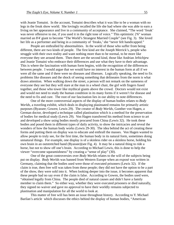with Jeanie Tomaini. In the account, Tomaini describes what it was like to be a woman with no legs in the freak show world. She lovingly recalled the life she had where she was able to earn a living on her appearance and live in a community of acceptance. She claimed, "The word 'freak' was never offensive to me, if you used it in the right tone of voice." This optimistic 2'6" woman married an 8'4' giant to become "The World's Strangest Married Couple" (see Fig. 3). She loved her life as a performer and being in a community of 'freaks,' she "never felt handicapped."

People are enthralled by abnormalities. In the world of those who suffer from being different, there are two kinds of people. The first kind are the Joseph Merrick's, people who struggle with their own reality and want nothing more than to be normal, to be more like everyone they see around them. Then there are the second kind, those like Andrian Jeftichjew and Jeanie Tomaini who embrace their differences and use what they have to their advantage. This is where the fascination with human form begins, with the recognition of the differences between people. I would argue that we would have no interest in the human form at all if we were all the same and if there were no diseases and illnesses. Logically speaking, the need to fix problems like diseases and the shock of seeing something that delineates from the norm is what draws attention. When walking down the street, a person will not remark on the sameness of everyone they see but they will stare at the man in a wheel chair, the girl with fingers fused together, and those who tower like mythical giants above the crowd. Doctors would not exist and would not need to study the human condition in its many forms if it weren't for disease and the need to fix and cure. The root of our fascination lies in our ability to note differences.

 One of the more controversial aspects of the display of human bodies relates to *Body Worlds,* a traveling exhibit, which deals in displaying plasitnated remains for primarily artistic purposes (Byassee; Gowen; Lewis 29). The creator of *Body Worlds*, Gunther von Hagen, a German doctor, developed a technique called plastination which is a method for the preservation of bodies for medical study (Lewis 29). Von Hagen transferred his method from science to art and developed a show using bodies mostly procured from China (Lewis 32). He took these bodies and posed them in different types of daily activity, to show the intricacies and reveal the wonders of how the human body works (Lewis 29-30). The idea behind the act of creating these forms and putting them on display was to educate and enthrall the masses. Von Hagen wanted to allow people to truly see, for the first time, the human body in its natural form, sometimes doing unnatural things. For example, one display is of a skinless rider on a skinless horse, holding his own brain in an outstretched hand (Byassee)(see Fig. 4). It may be a natural thing to ride a horse, but not to show off one's brain. According to Michael Lewis, this is done to help the viewer "overcome squeamishness" by creating a "sense of play" (30).

One of the great controversies over *Body Worlds* relates to the will of the subjects being put on display. *Body Worlds* was banned from Western Europe when an exposé was written in Germany, claiming that the bodies used were those of executed prisoners (Lewis 32). If the claim is true, then free will was taken from these people; they did not have the option to be a part of the show, they were sold into it. When looking deeper into the issue, it becomes apparent that these people had no say even if the claim is false. According to Gowen, the bodies used were, "obtained legally from China. The people died of natural causes and didn't have a family member to claim them." So either way, whether they were executed prisoners or died naturally, they signed no waiver and gave no approval to have their worldly remains subjected to plastination and manipulation for all the world to look at.

This matter of free will has been an issue throughout history. According to Y. Michael Barilan's article which discusses the ethics behind the display of human bodies, "American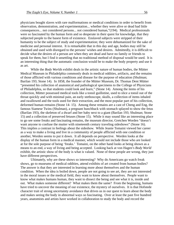physicians bought slaves with rare malformations or medical conditions in order to benefit from observation, demonstration, and experimentation... whether they were alive or dead had little consequences... not considered persons... not considered human,"(194). Medical professionals were so fascinated by the human form and so desperate in their quest for knowledge, that they subjected people to the basest form of existence. Enslaved subjects were stripped of their humanity to be the subject of study and experimentation; they were dehumanized for the sake of medicine and personal interest. It is remarkable that in this day and age, bodies may still be obtained and used with disregard to the persons' wishes and desires. Admittedly, it is difficult to decide what the desires of a person are when they are dead and have no family or friends to speak for them, but I find it unsettling that no traditional method of disposal would be used. It is an interesting thing that the automatic conclusion would be to make the body property and use it as art.

While the *Body Worlds* exhibit deals in the artistic nature of human bodies, the Mütter Medical Museum in Philadelphia commonly deals in medical oddities, artifacts, and the remains of those afflicted with various conditions and disease for the purpose of education (Shulman; Barilan 193; Stone 14). In 1858, the founder of the Mütter Museum, Dr. Thomas Dent Mütter "presented his collection of anatomical and pathological specimens to the College of Physicians of Philadelphia, so that students could look and learn," (Stone 14). Among the items of his collection, Mütter possessed medical tools like a tonsil guillotine, used to slice a tonsil out of the throat quickly and with minimal pain, an early stethoscope, skulls, a collection of items inhaled and swallowed and the tools used for their extraction, and the most popular part of his collection, deformed human remains (Stone 14- 15). Among these remains are a cast of Cheng and Eng, the famous Siamese Twins (Shulman), a pregnant hunchback with stomach splayed to show the fetus (Barilan 193), the skeleton of a dwarf and her baby next to a giant (Barilan 193; Shulman; Stone 15) and a collection of preserved fetuses (Stone 15). While it may sound like an interesting place to go see some freaks and fascinating remains, the museum director, Gretchen Worden "doesn't want anyone to confuse the mutter with nineteenth century traveling sideshows" (Stone 16). This implies a contrast in feelings about the sideshow. While Jeanie Tomaini viewed her career as a way to make a living and live in a community of people afflicted with one condition or another, Worden seems to put it down. It all depends on perspective. Worden looks at the display of the human form in a medical manner, which would not include those who are looked at for the sole purpose of being 'freaks.' Tomaini, on the other hand looks at being shown as a means to an end, a way of living and being accepted. Looking back at von Hagen's *Body World* exhibit, the artistic show of the body is what is valued. None of these people are wrong, they just have different perspectives.

Ultimately, why are these shows so interesting? Why do Americans go watch freak shows, go to museums of medical oddities, attend exhibits of art created from human bodies? The answer is that they are interested in learning more about themselves and the human condition. When the idea is boiled down, people are not going to see art, they are not interested in the moral issues or the medical field, they want to know about themselves. People want to know what makes humans human, they want to dissect the being and see what it is, inside and out. What makes someone different? What makes them the same? From the beginning, humans have tried to uncover the meaning of our existence, the mystery of ourselves. It is that Hofstede character trait of strong uncertainty avoidance that drives us in our quest to learn about the body and makes seeing the body in abnormal ways so fascinating. Over at least the past five hundred years, anatomists and artists have worked in collaboration to study the body and record the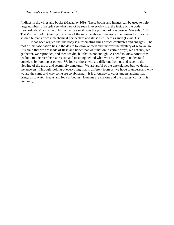findings in drawings and books (Macaulay 109). These books and images can be used to help large numbers of people see what cannot be seen in everyday life, the inside of the body. Leonardo da Vinci is the only man whose work was the product of one person (Macaulay 109). The *Vitruvian Man* (see Fig. 5) is one of the most celebrated images of the human form, as he studied humans from a mechanical perspective and illustrated them as such (Lewis 31).

It has been argued that the body is a fascinating thing which captivates and engages. The root of this fascination lies in the desire to know oneself and uncover the mystery of who we are. It is plain that we are made of flesh and bone; that we function in certain ways, we get sick, we get better, we reproduce, and then we die, but that is not enough. As need to know Americans, we look to uncover the real reason and meaning behind what we are. We try to understand ourselves by looking at others. We look at those who are different from us and revel in the viewing of the gross and seemingly unnatural. We are awful of the unexplained but we desire the answers. Through looking at everything that is different from us, we hope to understand why we are the same and why some are so abnormal. It is a journey towards understanding that brings us to watch freaks and look at bodies. Humans are curious and the greatest curiosity is humanity.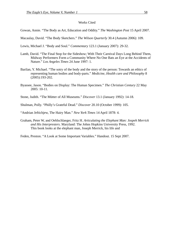#### Works Cited

Gowan, Annie. "The Body as Art, Education and Oddity." *The Washington Post* 15 April 2007.

Macaulay, David. "The Body Sketchers." *The Wilson Quarterly* 30.4 (Autumn 2006): 109.

Lewis, Michael J. "Body and Soul." *Commentary* 123.1 (January 2007): 29-32.

- Lamb, David. "The Final Stop for the Sideshow; With Their Carnival Days Long Behind Them, Midway Performers Form a Community Where No One Bats an Eye at the Accidents of Nature." *Los Angeles Times* 24 June 1997: 1.
- Barilan, Y. Michael. "The sotry of the body and the story of the person: Towards an ethics of representing human bodies and body-parts." *Medicine, Health care and Philosophy* 8 (2005):193-202.
- Byassee, Jason. "Bodies on Display: The Human Specimen." *The Christian Century* 22 May 2005: 10-11.

Stone, Judith. "The Mütter of All Museums." *Discover* 13.1 (January 1992): 14-18.

Shulman, Polly. "Philly's Grateful Dead." *Discover* 20.10 (October 1999): 105.

"Andrian Jeftichjew, The Hairy Man." *New York Times* 14 April 1878: 4.

Graham, Peter W, and Oehlschlaeger, Fritz H. *Articulating the Elephant Man: Jospeh Merrick and His Interpresters*. Maryland: The Johns Hopkins University Press, 1992. This book looks at the elephant man, Joseph Merrick, his life and

Feden, Preston. "A Look at Some Important Variables." Handout. 15 Sept 2007.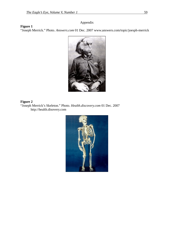# Appendix

"Joseph Merrick." Photo. *Answers.com* 01 Dec. 2007 www.answers.com/topic/joesph-merrick



## **Figure 2**

**Figure 1** 

"Joseph Merrick's Skeleton." Photo. *Health.discovery.com* 01 Dec. 2007 http://health.disovery.com

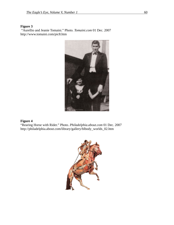## **Figure 3**

 "Aurellio and Jeanie Tomaini." Photo. *Tomaini.com* 01 Dec. 2007 http://www.tomaini.com/pic8.htm



# **Figure 4**

"Rearing Horse with Rider." Photo. *Philadelphia.about.com* 01 Dec. 2007 http://philadelphia.about.com/library/gallery/blbody\_worlds\_02.htm